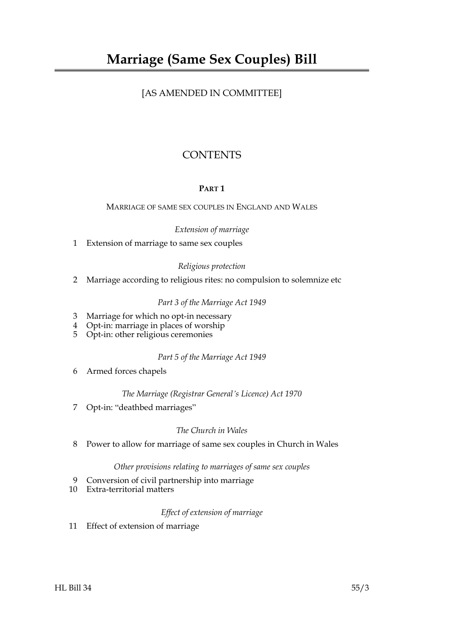# [AS AMENDED IN COMMITTEE]

# **CONTENTS**

# **PART 1**

# MARRIAGE OF SAME SEX COUPLES IN ENGLAND AND WALES

# *Extension of marriage*

1 Extension of marriage to same sex couples

# *Religious protection*

2 Marriage according to religious rites: no compulsion to solemnize etc

# *Part 3 of the Marriage Act 1949*

- 3 Marriage for which no opt-in necessary
- 4 Opt-in: marriage in places of worship
- 5 Opt-in: other religious ceremonies

# *Part 5 of the Marriage Act 1949*

6 Armed forces chapels

# *The Marriage (Registrar General's Licence) Act 1970*

7 Opt-in: "deathbed marriages"

# *The Church in Wales*

8 Power to allow for marriage of same sex couples in Church in Wales

# *Other provisions relating to marriages of same sex couples*

- 9 Conversion of civil partnership into marriage
- 10 Extra-territorial matters

# *Effect of extension of marriage*

11 Effect of extension of marriage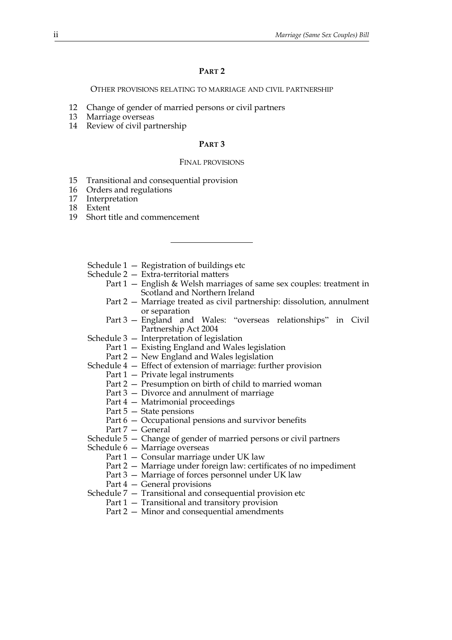# **PART 2**

OTHER PROVISIONS RELATING TO MARRIAGE AND CIVIL PARTNERSHIP

- 12 Change of gender of married persons or civil partners
- 13 Marriage overseas
- 14 Review of civil partnership

#### **PART 3**

#### FINAL PROVISIONS

- 15 Transitional and consequential provision
- 16 Orders and regulations
- 17 Interpretation
- 18 Extent
- 19 Short title and commencement
	- Schedule  $1 -$  Registration of buildings etc
	- Schedule 2 Extra-territorial matters
		- Part 1 English & Welsh marriages of same sex couples: treatment in Scotland and Northern Ireland
		- Part 2 Marriage treated as civil partnership: dissolution, annulment or separation
		- Part 3 England and Wales: "overseas relationships" in Civil Partnership Act 2004
	- Schedule 3 Interpretation of legislation
		- Part 1 Existing England and Wales legislation
		- Part 2 New England and Wales legislation
	- Schedule 4 Effect of extension of marriage: further provision
		- Part 1 Private legal instruments
		- Part 2 Presumption on birth of child to married woman
		- Part 3 Divorce and annulment of marriage
		- Part 4 Matrimonial proceedings
		- Part 5 State pensions
		- Part 6 Occupational pensions and survivor benefits
		- Part 7 General
	- Schedule 5 Change of gender of married persons or civil partners
	- Schedule 6 Marriage overseas
		- Part 1 Consular marriage under UK law
		- Part 2 Marriage under foreign law: certificates of no impediment
		- Part 3 Marriage of forces personnel under UK law
		- Part 4 General provisions
	- Schedule 7 Transitional and consequential provision etc
		- Part 1 Transitional and transitory provision
		- Part 2 Minor and consequential amendments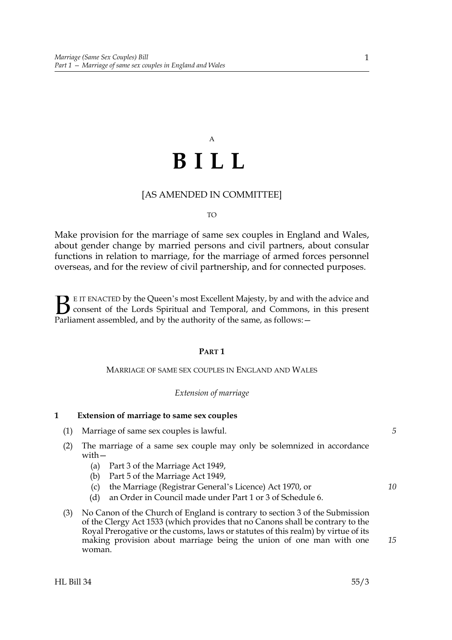# A **BILL**

# [AS AMENDED IN COMMITTEE]

#### TO

Make provision for the marriage of same sex couples in England and Wales, about gender change by married persons and civil partners, about consular functions in relation to marriage, for the marriage of armed forces personnel overseas, and for the review of civil partnership, and for connected purposes.

E IT ENACTED by the Queen's most Excellent Majesty, by and with the advice and consent of the Lords Spiritual and Temporal, and Commons, in this present **B** E IT ENACTED by the Queen's most Excellent Majesty, by and with consent of the Lords Spiritual and Temporal, and Commons, Parliament assembled, and by the authority of the same, as follows:  $-$ 

# **PART 1**

#### MARRIAGE OF SAME SEX COUPLES IN ENGLAND AND WALES

#### *Extension of marriage*

# **1 Extension of marriage to same sex couples**

- (1) Marriage of same sex couples is lawful.
- (2) The marriage of a same sex couple may only be solemnized in accordance with—
	- (a) Part 3 of the Marriage Act 1949,
	- (b) Part 5 of the Marriage Act 1949,
	- (c) the Marriage (Registrar General's Licence) Act 1970, or
	- (d) an Order in Council made under Part 1 or 3 of Schedule 6.
- (3) No Canon of the Church of England is contrary to section 3 of the Submission of the Clergy Act 1533 (which provides that no Canons shall be contrary to the Royal Prerogative or the customs, laws or statutes of this realm) by virtue of its making provision about marriage being the union of one man with one woman.

1

*5*

*10*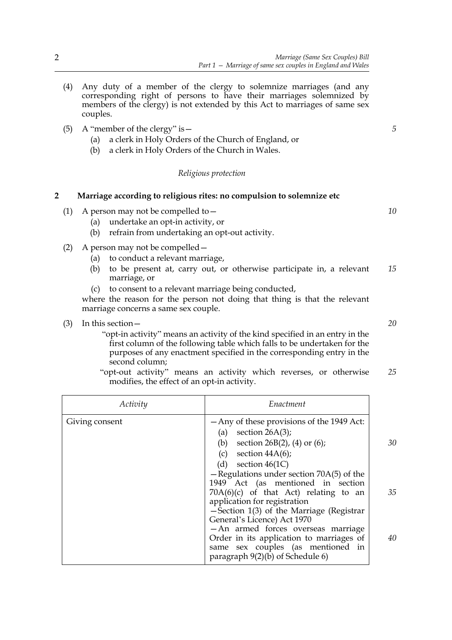- (4) Any duty of a member of the clergy to solemnize marriages (and any corresponding right of persons to have their marriages solemnized by members of the clergy) is not extended by this Act to marriages of same sex couples.
- (5) A "member of the clergy" is—
	- (a) a clerk in Holy Orders of the Church of England, or
	- (b) a clerk in Holy Orders of the Church in Wales.
		- *Religious protection*

# **2 Marriage according to religious rites: no compulsion to solemnize etc**

- (1) A person may not be compelled to—
	- (a) undertake an opt-in activity, or
	- (b) refrain from undertaking an opt-out activity.
- (2) A person may not be compelled—
	- (a) to conduct a relevant marriage,
	- (b) to be present at, carry out, or otherwise participate in, a relevant marriage, or *15*
	- (c) to consent to a relevant marriage being conducted,

where the reason for the person not doing that thing is that the relevant marriage concerns a same sex couple.

# (3) In this section—

- "opt-in activity" means an activity of the kind specified in an entry in the first column of the following table which falls to be undertaken for the purposes of any enactment specified in the corresponding entry in the second column;
- "opt-out activity" means an activity which reverses, or otherwise modifies, the effect of an opt-in activity. *25*

| Activity       | Enactment                                                                                                                                                                                                                                                                                                                                                                                                                                                                                                                                                         |                |
|----------------|-------------------------------------------------------------------------------------------------------------------------------------------------------------------------------------------------------------------------------------------------------------------------------------------------------------------------------------------------------------------------------------------------------------------------------------------------------------------------------------------------------------------------------------------------------------------|----------------|
| Giving consent | - Any of these provisions of the 1949 Act:<br>section 26A(3);<br>(a)<br>(b) section 26B(2), (4) or (6);<br>(c) section $44A(6)$ ;<br>(d) section $46(1C)$<br>$-$ Regulations under section 70A(5) of the<br>1949 Act (as mentioned in section<br>$70A(6)(c)$ of that Act) relating to an<br>application for registration<br>$-$ Section 1(3) of the Marriage (Registrar<br>General's Licence) Act 1970<br>-An armed forces overseas marriage<br>Order in its application to marriages of<br>same sex couples (as mentioned in<br>paragraph 9(2)(b) of Schedule 6) | 30<br>35<br>40 |

*20*

*5*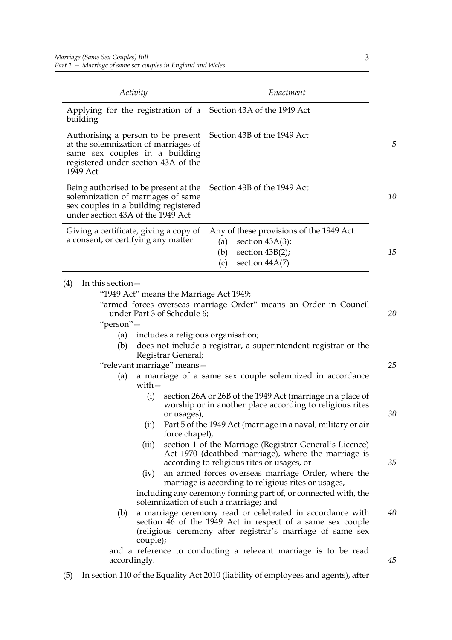| Activity                                                                                                                                                        | Enactment                                                                                                                     |    |
|-----------------------------------------------------------------------------------------------------------------------------------------------------------------|-------------------------------------------------------------------------------------------------------------------------------|----|
| Applying for the registration of a<br>building                                                                                                                  | Section 43A of the 1949 Act                                                                                                   |    |
| Authorising a person to be present<br>at the solemnization of marriages of<br>same sex couples in a building<br>registered under section 43A of the<br>1949 Act | Section 43B of the 1949 Act                                                                                                   | 5  |
| Being authorised to be present at the<br>solemnization of marriages of same<br>sex couples in a building registered<br>under section 43A of the 1949 Act        | Section 43B of the 1949 Act                                                                                                   | 10 |
| Giving a certificate, giving a copy of<br>a consent, or certifying any matter                                                                                   | Any of these provisions of the 1949 Act:<br>section $43A(3)$ ;<br>(a)<br>section $43B(2)$ ;<br>(b)<br>section $44A(7)$<br>(c) | 15 |

# (4) In this section—

"1949 Act" means the Marriage Act 1949;

"armed forces overseas marriage Order" means an Order in Council under Part 3 of Schedule 6;

"person"—

- (a) includes a religious organisation;
- (b) does not include a registrar, a superintendent registrar or the Registrar General;

"relevant marriage" means—

- (a) a marriage of a same sex couple solemnized in accordance with—
	- (i) section 26A or 26B of the 1949 Act (marriage in a place of worship or in another place according to religious rites or usages),
	- (ii) Part 5 of the 1949 Act (marriage in a naval, military or air force chapel),
	- (iii) section 1 of the Marriage (Registrar General's Licence) Act 1970 (deathbed marriage), where the marriage is according to religious rites or usages, or
	- (iv) an armed forces overseas marriage Order, where the marriage is according to religious rites or usages,

including any ceremony forming part of, or connected with, the solemnization of such a marriage; and

(b) a marriage ceremony read or celebrated in accordance with section 46 of the 1949 Act in respect of a same sex couple (religious ceremony after registrar's marriage of same sex couple);

and a reference to conducting a relevant marriage is to be read accordingly.

(5) In section 110 of the Equality Act 2010 (liability of employees and agents), after

*25*

*20*

*30*

*40*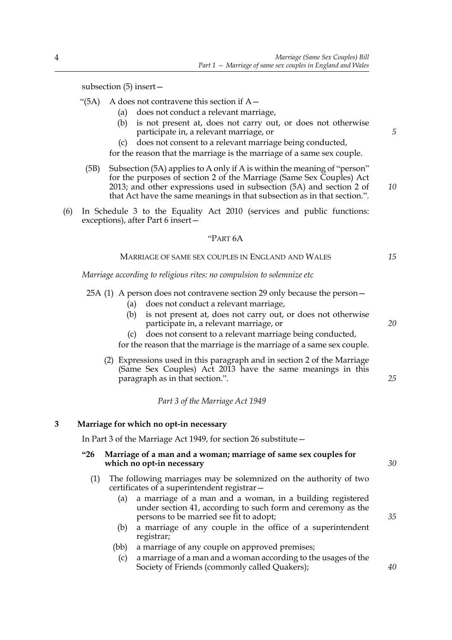subsection (5) insert—

"(5A) A does not contravene this section if  $A-$ 

- (a) does not conduct a relevant marriage,
- (b) is not present at, does not carry out, or does not otherwise participate in, a relevant marriage, or
- (c) does not consent to a relevant marriage being conducted,

for the reason that the marriage is the marriage of a same sex couple.

- (5B) Subsection (5A) applies to A only if A is within the meaning of "person" for the purposes of section 2 of the Marriage (Same Sex Couples) Act 2013; and other expressions used in subsection (5A) and section 2 of that Act have the same meanings in that subsection as in that section.".
- (6) In Schedule 3 to the Equality Act 2010 (services and public functions: exceptions), after Part 6 insert—

#### "PART 6A

# MARRIAGE OF SAME SEX COUPLES IN ENGLAND AND WALES

*Marriage according to religious rites: no compulsion to solemnize etc*

- 25A (1) A person does not contravene section 29 only because the person—
	- (a) does not conduct a relevant marriage,
	- (b) is not present at, does not carry out, or does not otherwise participate in, a relevant marriage, or
	- (c) does not consent to a relevant marriage being conducted,

for the reason that the marriage is the marriage of a same sex couple.

(2) Expressions used in this paragraph and in section 2 of the Marriage (Same Sex Couples) Act 2013 have the same meanings in this paragraph as in that section.".

*Part 3 of the Marriage Act 1949*

#### **3 Marriage for which no opt-in necessary**

In Part 3 of the Marriage Act 1949, for section 26 substitute—

# **"26 Marriage of a man and a woman; marriage of same sex couples for which no opt-in necessary**

- (1) The following marriages may be solemnized on the authority of two certificates of a superintendent registrar—
	- (a) a marriage of a man and a woman, in a building registered under section 41, according to such form and ceremony as the persons to be married see fit to adopt;
	- (b) a marriage of any couple in the office of a superintendent registrar;
	- (bb) a marriage of any couple on approved premises;
		- (c) a marriage of a man and a woman according to the usages of the Society of Friends (commonly called Quakers);

*5*

*10*

*15*

*20*

*25*

*35*

*40*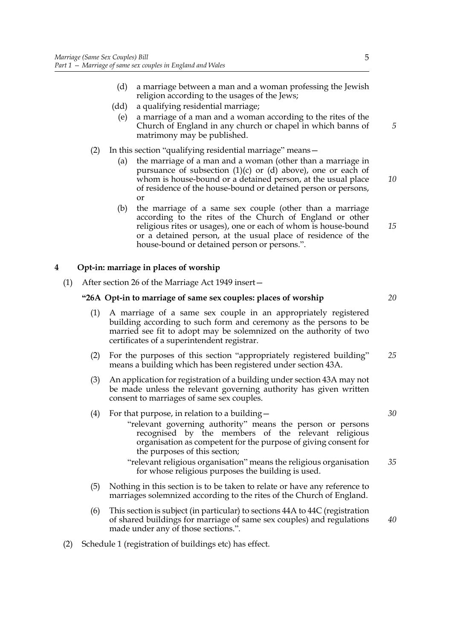- (d) a marriage between a man and a woman professing the Jewish religion according to the usages of the Jews;
- (dd) a qualifying residential marriage;
	- (e) a marriage of a man and a woman according to the rites of the Church of England in any church or chapel in which banns of matrimony may be published.
- (2) In this section "qualifying residential marriage" means—
	- (a) the marriage of a man and a woman (other than a marriage in pursuance of subsection  $(1)(c)$  or  $(d)$  above), one or each of whom is house-bound or a detained person, at the usual place of residence of the house-bound or detained person or persons, or *10*
	- (b) the marriage of a same sex couple (other than a marriage according to the rites of the Church of England or other religious rites or usages), one or each of whom is house-bound or a detained person, at the usual place of residence of the house-bound or detained person or persons.".

# **4 Opt-in: marriage in places of worship**

(1) After section 26 of the Marriage Act 1949 insert—

# **"26A Opt-in to marriage of same sex couples: places of worship**

- (1) A marriage of a same sex couple in an appropriately registered building according to such form and ceremony as the persons to be married see fit to adopt may be solemnized on the authority of two certificates of a superintendent registrar.
- (2) For the purposes of this section "appropriately registered building" means a building which has been registered under section 43A. *25*
- (3) An application for registration of a building under section 43A may not be made unless the relevant governing authority has given written consent to marriages of same sex couples.

# (4) For that purpose, in relation to a building—

- "relevant governing authority" means the person or persons recognised by the members of the relevant religious organisation as competent for the purpose of giving consent for the purposes of this section;
- "relevant religious organisation" means the religious organisation for whose religious purposes the building is used. *35*
- (5) Nothing in this section is to be taken to relate or have any reference to marriages solemnized according to the rites of the Church of England.
- (6) This section is subject (in particular) to sections 44A to 44C (registration of shared buildings for marriage of same sex couples) and regulations made under any of those sections.". *40*
- (2) Schedule 1 (registration of buildings etc) has effect.

*5*

*15*

*20*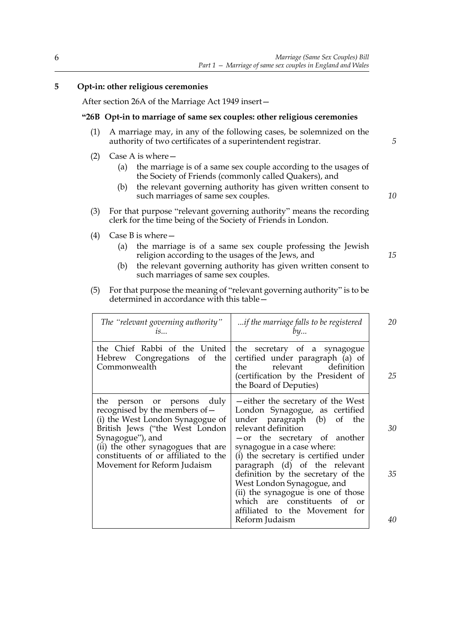# **5 Opt-in: other religious ceremonies**

After section 26A of the Marriage Act 1949 insert—

# **"26B Opt-in to marriage of same sex couples: other religious ceremonies**

- (1) A marriage may, in any of the following cases, be solemnized on the authority of two certificates of a superintendent registrar.
- (2) Case A is where—
	- (a) the marriage is of a same sex couple according to the usages of the Society of Friends (commonly called Quakers), and
	- (b) the relevant governing authority has given written consent to such marriages of same sex couples.
- (3) For that purpose "relevant governing authority" means the recording clerk for the time being of the Society of Friends in London.
- (4) Case B is where—
	- (a) the marriage is of a same sex couple professing the Jewish religion according to the usages of the Jews, and
	- (b) the relevant governing authority has given written consent to such marriages of same sex couples.
- (5) For that purpose the meaning of "relevant governing authority" is to be determined in accordance with this table—

| The "relevant governing authority"<br>is                                                                                                                                                       | if the marriage falls to be registered<br>by                                                                                                                                                                                                      | 20 |
|------------------------------------------------------------------------------------------------------------------------------------------------------------------------------------------------|---------------------------------------------------------------------------------------------------------------------------------------------------------------------------------------------------------------------------------------------------|----|
| the Chief Rabbi of the United<br>Hebrew Congregations of the<br>Commonwealth                                                                                                                   | the secretary of a synagogue<br>certified under paragraph (a) of<br>relevant definition<br>the.<br>(certification by the President of<br>the Board of Deputies)                                                                                   | 25 |
| the person or persons duly<br>recognised by the members of $-$<br>(i) the West London Synagogue of<br>British Jews ("the West London<br>Synagogue"), and<br>(ii) the other synagogues that are | -either the secretary of the West<br>London Synagogue, as certified<br>under paragraph (b) of the<br>relevant definition<br>$-$ or the secretary of another<br>synagogue in a case where:                                                         | 30 |
| constituents of or affiliated to the<br>Movement for Reform Judaism                                                                                                                            | (i) the secretary is certified under<br>paragraph (d) of the relevant<br>definition by the secretary of the<br>West London Synagogue, and<br>(ii) the synagogue is one of those<br>which are constituents of or<br>affiliated to the Movement for | 35 |
|                                                                                                                                                                                                | Reform Judaism                                                                                                                                                                                                                                    | 40 |

*10*

*15*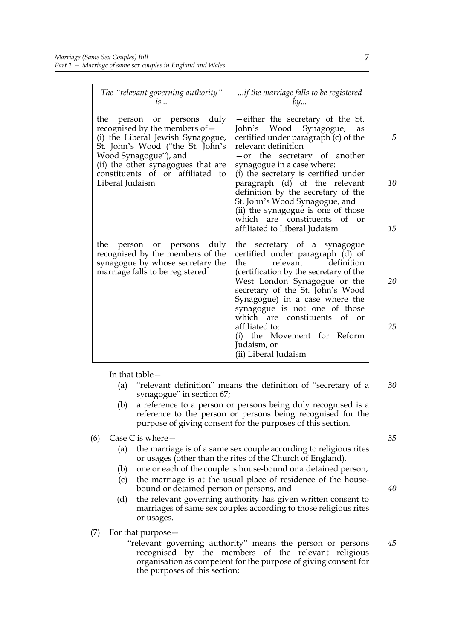| The "relevant governing authority"<br>is                                                                                                                                                                      | if the marriage falls to be registered<br>by                                                                                                                                                                                                                                                                                                                                                                  |          |
|---------------------------------------------------------------------------------------------------------------------------------------------------------------------------------------------------------------|---------------------------------------------------------------------------------------------------------------------------------------------------------------------------------------------------------------------------------------------------------------------------------------------------------------------------------------------------------------------------------------------------------------|----------|
| duly<br>the<br>person or<br>persons<br>recognised by the members of -<br>(i) the Liberal Jewish Synagogue,<br>St. John's Wood ("the St. John's<br>Wood Synagogue"), and<br>(ii) the other synagogues that are | -either the secretary of the St.<br>John's Wood<br>Synagogue,<br>as<br>certified under paragraph (c) of the<br>relevant definition<br>-or the secretary of another<br>synagogue in a case where:                                                                                                                                                                                                              | 5        |
| constituents of or affiliated to<br>Liberal Judaism                                                                                                                                                           | (i) the secretary is certified under<br>paragraph (d) of the relevant<br>definition by the secretary of the<br>St. John's Wood Synagogue, and<br>(ii) the synagogue is one of those<br>which are constituents of<br><sub>or</sub><br>affiliated to Liberal Judaism                                                                                                                                            | 10<br>15 |
| the<br>duly<br>person or persons<br>recognised by the members of the<br>synagogue by whose secretary the<br>marriage falls to be registered                                                                   | the secretary of a synagogue<br>certified under paragraph (d) of<br>relevant<br>definition<br>the<br>(certification by the secretary of the<br>West London Synagogue or the<br>secretary of the St. John's Wood<br>Synagogue) in a case where the<br>synagogue is not one of those<br>which are constituents of<br>or<br>affiliated to:<br>(i) the Movement for Reform<br>Judaism, or<br>(ii) Liberal Judaism | 20<br>25 |

In that table—

- (a) "relevant definition" means the definition of "secretary of a synagogue" in section 67; *30*
- (b) a reference to a person or persons being duly recognised is a reference to the person or persons being recognised for the purpose of giving consent for the purposes of this section.
- (6) Case C is where—
	- (a) the marriage is of a same sex couple according to religious rites or usages (other than the rites of the Church of England),
	- (b) one or each of the couple is house-bound or a detained person,
	- (c) the marriage is at the usual place of residence of the housebound or detained person or persons, and
	- (d) the relevant governing authority has given written consent to marriages of same sex couples according to those religious rites or usages.

(7) For that purpose—

"relevant governing authority" means the person or persons recognised by the members of the relevant religious organisation as competent for the purpose of giving consent for the purposes of this section; *45*

*35*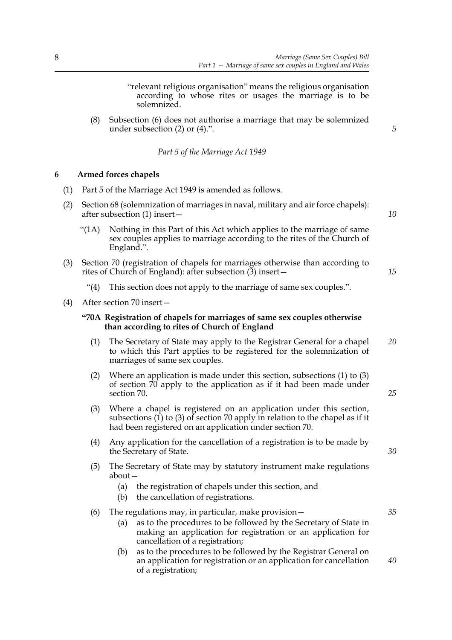"relevant religious organisation" means the religious organisation according to whose rites or usages the marriage is to be solemnized.

(8) Subsection (6) does not authorise a marriage that may be solemnized under subsection (2) or (4).".

*Part 5 of the Marriage Act 1949*

# **6 Armed forces chapels**

- (1) Part 5 of the Marriage Act 1949 is amended as follows.
- (2) Section 68 (solemnization of marriages in naval, military and air force chapels): after subsection (1) insert—
	- "(1A) Nothing in this Part of this Act which applies to the marriage of same sex couples applies to marriage according to the rites of the Church of England.".
- (3) Section 70 (registration of chapels for marriages otherwise than according to rites of Church of England): after subsection (3) insert—
	- "(4) This section does not apply to the marriage of same sex couples.".
- (4) After section 70 insert—

#### **"70A Registration of chapels for marriages of same sex couples otherwise than according to rites of Church of England**

- (1) The Secretary of State may apply to the Registrar General for a chapel to which this Part applies to be registered for the solemnization of marriages of same sex couples. *20*
- (2) Where an application is made under this section, subsections (1) to (3) of section 70 apply to the application as if it had been made under section 70.
- (3) Where a chapel is registered on an application under this section, subsections (1) to (3) of section 70 apply in relation to the chapel as if it had been registered on an application under section 70.
- (4) Any application for the cancellation of a registration is to be made by the Secretary of State.
- (5) The Secretary of State may by statutory instrument make regulations about—
	- (a) the registration of chapels under this section, and
	- (b) the cancellation of registrations.

#### (6) The regulations may, in particular, make provision  $-$

- (a) as to the procedures to be followed by the Secretary of State in making an application for registration or an application for cancellation of a registration;
- (b) as to the procedures to be followed by the Registrar General on an application for registration or an application for cancellation of a registration;

*10*

*15*

*5*

*25*

*30*

*35*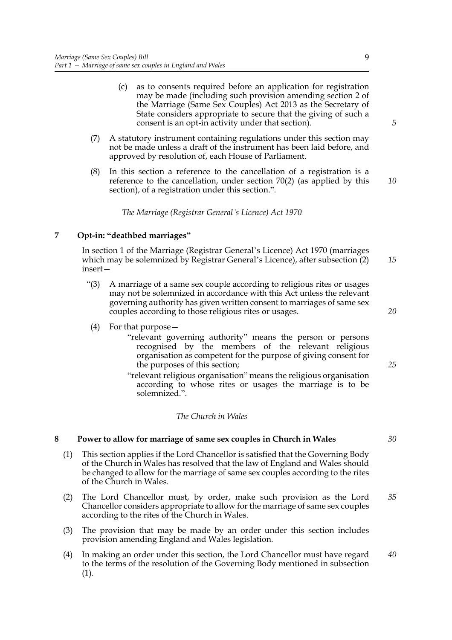- (c) as to consents required before an application for registration may be made (including such provision amending section 2 of the Marriage (Same Sex Couples) Act 2013 as the Secretary of State considers appropriate to secure that the giving of such a consent is an opt-in activity under that section).
- (7) A statutory instrument containing regulations under this section may not be made unless a draft of the instrument has been laid before, and approved by resolution of, each House of Parliament.
- (8) In this section a reference to the cancellation of a registration is a reference to the cancellation, under section 70(2) (as applied by this section), of a registration under this section.". *10*

*The Marriage (Registrar General's Licence) Act 1970*

# **7 Opt-in: "deathbed marriages"**

In section 1 of the Marriage (Registrar General's Licence) Act 1970 (marriages which may be solemnized by Registrar General's Licence), after subsection (2) insert— *15*

- "(3) A marriage of a same sex couple according to religious rites or usages may not be solemnized in accordance with this Act unless the relevant governing authority has given written consent to marriages of same sex couples according to those religious rites or usages.
- (4) For that purpose—

"relevant governing authority" means the person or persons recognised by the members of the relevant religious organisation as competent for the purpose of giving consent for the purposes of this section;

"relevant religious organisation" means the religious organisation according to whose rites or usages the marriage is to be solemnized.".

# *The Church in Wales*

# **8 Power to allow for marriage of same sex couples in Church in Wales**

- (1) This section applies if the Lord Chancellor is satisfied that the Governing Body of the Church in Wales has resolved that the law of England and Wales should be changed to allow for the marriage of same sex couples according to the rites of the Church in Wales.
- (2) The Lord Chancellor must, by order, make such provision as the Lord Chancellor considers appropriate to allow for the marriage of same sex couples according to the rites of the Church in Wales. *35*
- (3) The provision that may be made by an order under this section includes provision amending England and Wales legislation.
- (4) In making an order under this section, the Lord Chancellor must have regard to the terms of the resolution of the Governing Body mentioned in subsection (1). *40*

*5*

*20*

*25*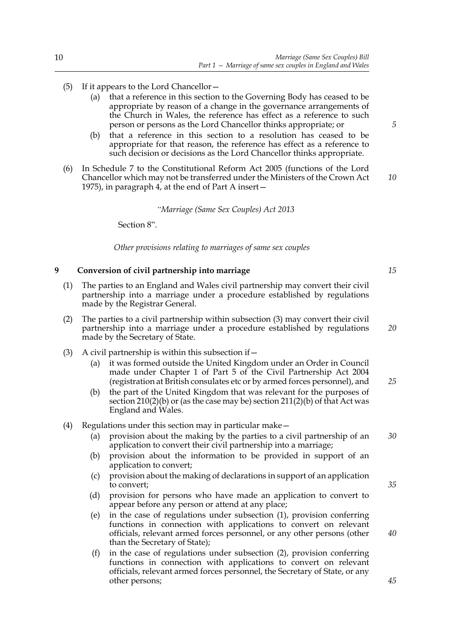- (5) If it appears to the Lord Chancellor—
	- (a) that a reference in this section to the Governing Body has ceased to be appropriate by reason of a change in the governance arrangements of the Church in Wales, the reference has effect as a reference to such person or persons as the Lord Chancellor thinks appropriate; or
	- (b) that a reference in this section to a resolution has ceased to be appropriate for that reason, the reference has effect as a reference to such decision or decisions as the Lord Chancellor thinks appropriate.
- (6) In Schedule 7 to the Constitutional Reform Act 2005 (functions of the Lord Chancellor which may not be transferred under the Ministers of the Crown Act 1975), in paragraph 4, at the end of Part A insert— *10*

# *"Marriage (Same Sex Couples) Act 2013*

Section 8".

*Other provisions relating to marriages of same sex couples*

# **9 Conversion of civil partnership into marriage**

- (1) The parties to an England and Wales civil partnership may convert their civil partnership into a marriage under a procedure established by regulations made by the Registrar General.
- (2) The parties to a civil partnership within subsection (3) may convert their civil partnership into a marriage under a procedure established by regulations made by the Secretary of State. *20*
- (3) A civil partnership is within this subsection if—
	- (a) it was formed outside the United Kingdom under an Order in Council made under Chapter 1 of Part 5 of the Civil Partnership Act 2004 (registration at British consulates etc or by armed forces personnel), and
	- (b) the part of the United Kingdom that was relevant for the purposes of section 210(2)(b) or (as the case may be) section 211(2)(b) of that Act was England and Wales.
- (4) Regulations under this section may in particular make—
	- (a) provision about the making by the parties to a civil partnership of an application to convert their civil partnership into a marriage; *30*
	- (b) provision about the information to be provided in support of an application to convert;
	- (c) provision about the making of declarations in support of an application to convert;
	- (d) provision for persons who have made an application to convert to appear before any person or attend at any place;
	- (e) in the case of regulations under subsection (1), provision conferring functions in connection with applications to convert on relevant officials, relevant armed forces personnel, or any other persons (other than the Secretary of State);
	- (f) in the case of regulations under subsection (2), provision conferring functions in connection with applications to convert on relevant officials, relevant armed forces personnel, the Secretary of State, or any other persons;

*5*

*15*

*25*

*35*

*45*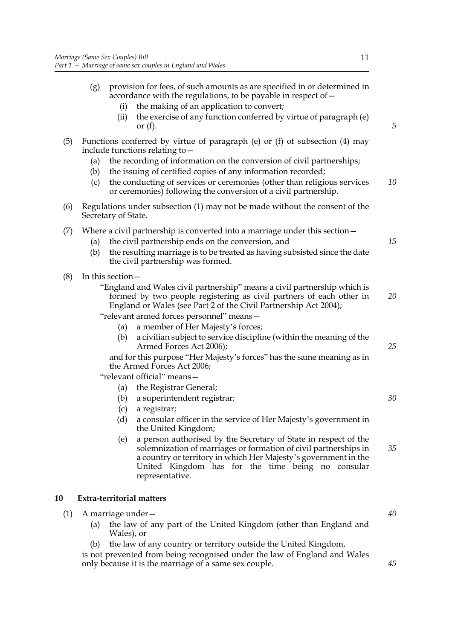|     | (g)               | (i)<br>(ii)                     | provision for fees, of such amounts as are specified in or determined in<br>accordance with the regulations, to be payable in respect of $-$<br>the making of an application to convert;<br>the exercise of any function conferred by virtue of paragraph (e)<br>or $(f)$ .                                                                                                                           | 5  |
|-----|-------------------|---------------------------------|-------------------------------------------------------------------------------------------------------------------------------------------------------------------------------------------------------------------------------------------------------------------------------------------------------------------------------------------------------------------------------------------------------|----|
| (5) | (a)<br>(b)<br>(c) |                                 | Functions conferred by virtue of paragraph (e) or (f) of subsection (4) may<br>include functions relating to -<br>the recording of information on the conversion of civil partnerships;<br>the issuing of certified copies of any information recorded;<br>the conducting of services or ceremonies (other than religious services<br>or ceremonies) following the conversion of a civil partnership. | 10 |
| (6) |                   | Secretary of State.             | Regulations under subsection (1) may not be made without the consent of the                                                                                                                                                                                                                                                                                                                           |    |
| (7) | (a)<br>(b)        |                                 | Where a civil partnership is converted into a marriage under this section $-$<br>the civil partnership ends on the conversion, and<br>the resulting marriage is to be treated as having subsisted since the date<br>the civil partnership was formed.                                                                                                                                                 | 15 |
| (8) |                   | In this section -               | "England and Wales civil partnership" means a civil partnership which is<br>formed by two people registering as civil partners of each other in<br>England or Wales (see Part 2 of the Civil Partnership Act 2004);<br>"relevant armed forces personnel" means-                                                                                                                                       | 20 |
|     |                   | (a)<br>(b)                      | a member of Her Majesty's forces;<br>a civilian subject to service discipline (within the meaning of the<br>Armed Forces Act 2006);<br>and for this purpose "Her Majesty's forces" has the same meaning as in<br>the Armed Forces Act 2006;                                                                                                                                                           | 25 |
|     |                   | (a)<br>(b)<br>(c)               | "relevant official" means-<br>the Registrar General;<br>a superintendent registrar;<br>a registrar;<br>(d) a consular officer in the service of Her Majesty's government in                                                                                                                                                                                                                           | 30 |
|     |                   | (e)                             | the United Kingdom;<br>a person authorised by the Secretary of State in respect of the<br>solemnization of marriages or formation of civil partnerships in<br>a country or territory in which Her Majesty's government in the<br>United Kingdom has for the time being no consular<br>representative.                                                                                                 | 35 |
| 10  |                   |                                 | <b>Extra-territorial matters</b>                                                                                                                                                                                                                                                                                                                                                                      |    |
| (1) | (a)               | A marriage under-<br>Wales), or | the law of any part of the United Kingdom (other than England and                                                                                                                                                                                                                                                                                                                                     | 40 |

(b) the law of any country or territory outside the United Kingdom,

is not prevented from being recognised under the law of England and Wales only because it is the marriage of a same sex couple.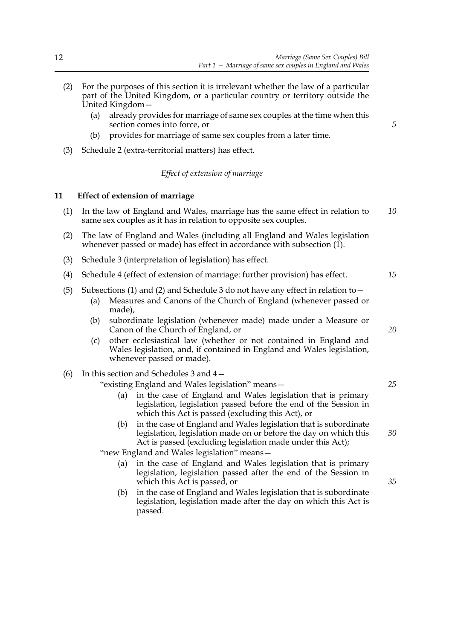- (2) For the purposes of this section it is irrelevant whether the law of a particular part of the United Kingdom, or a particular country or territory outside the United Kingdom—
	- (a) already provides for marriage of same sex couples at the time when this section comes into force, or
	- (b) provides for marriage of same sex couples from a later time.
- (3) Schedule 2 (extra-territorial matters) has effect.

# *Effect of extension of marriage*

# **11 Effect of extension of marriage**

- (1) In the law of England and Wales, marriage has the same effect in relation to same sex couples as it has in relation to opposite sex couples. *10*
- (2) The law of England and Wales (including all England and Wales legislation whenever passed or made) has effect in accordance with subsection (1).
- (3) Schedule 3 (interpretation of legislation) has effect.
- (4) Schedule 4 (effect of extension of marriage: further provision) has effect. *15*
- (5) Subsections (1) and (2) and Schedule 3 do not have any effect in relation to—
	- (a) Measures and Canons of the Church of England (whenever passed or made),
	- (b) subordinate legislation (whenever made) made under a Measure or Canon of the Church of England, or
	- (c) other ecclesiastical law (whether or not contained in England and Wales legislation, and, if contained in England and Wales legislation, whenever passed or made).
- (6) In this section and Schedules 3 and 4—
	- "existing England and Wales legislation" means—
		- (a) in the case of England and Wales legislation that is primary legislation, legislation passed before the end of the Session in which this Act is passed (excluding this Act), or
		- (b) in the case of England and Wales legislation that is subordinate legislation, legislation made on or before the day on which this Act is passed (excluding legislation made under this Act); *30*

"new England and Wales legislation" means—

- (a) in the case of England and Wales legislation that is primary legislation, legislation passed after the end of the Session in which this Act is passed, or
- (b) in the case of England and Wales legislation that is subordinate legislation, legislation made after the day on which this Act is passed.

*5*

*20*

*25*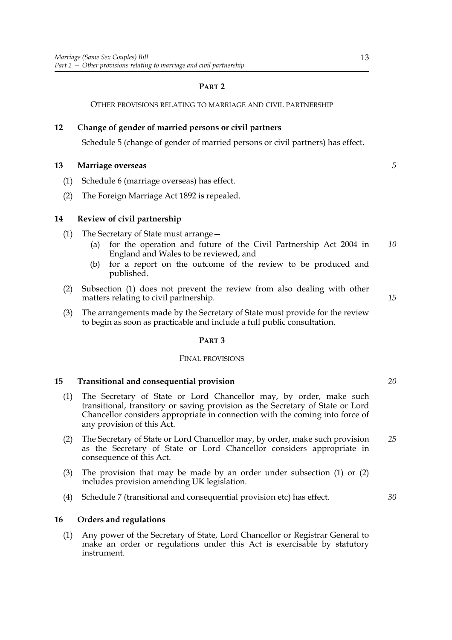# **PART 2**

OTHER PROVISIONS RELATING TO MARRIAGE AND CIVIL PARTNERSHIP

# **12 Change of gender of married persons or civil partners**

Schedule 5 (change of gender of married persons or civil partners) has effect.

# **13 Marriage overseas**

- (1) Schedule 6 (marriage overseas) has effect.
- (2) The Foreign Marriage Act 1892 is repealed.

# **14 Review of civil partnership**

- (1) The Secretary of State must arrange—
	- (a) for the operation and future of the Civil Partnership Act 2004 in England and Wales to be reviewed, and *10*
	- (b) for a report on the outcome of the review to be produced and published.
- (2) Subsection (1) does not prevent the review from also dealing with other matters relating to civil partnership.
- (3) The arrangements made by the Secretary of State must provide for the review to begin as soon as practicable and include a full public consultation.

# **PART 3**

#### FINAL PROVISIONS

# **15 Transitional and consequential provision**

- (1) The Secretary of State or Lord Chancellor may, by order, make such transitional, transitory or saving provision as the Secretary of State or Lord Chancellor considers appropriate in connection with the coming into force of any provision of this Act.
- (2) The Secretary of State or Lord Chancellor may, by order, make such provision as the Secretary of State or Lord Chancellor considers appropriate in consequence of this Act. *25*
- (3) The provision that may be made by an order under subsection (1) or (2) includes provision amending UK legislation.
- (4) Schedule 7 (transitional and consequential provision etc) has effect.

# **16 Orders and regulations**

(1) Any power of the Secretary of State, Lord Chancellor or Registrar General to make an order or regulations under this Act is exercisable by statutory instrument.

*20*

*15*

*30*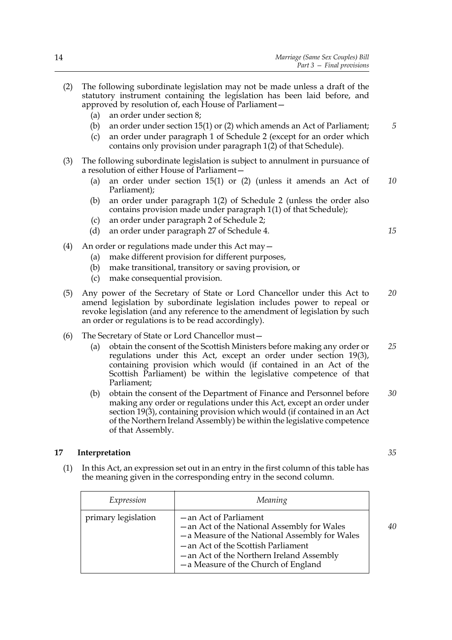| (2) | (a)<br>(b)<br>(c) | The following subordinate legislation may not be made unless a draft of the<br>statutory instrument containing the legislation has been laid before, and<br>approved by resolution of, each House of Parliament-<br>an order under section 8;<br>an order under section $15(1)$ or (2) which amends an Act of Parliament;<br>an order under paragraph 1 of Schedule 2 (except for an order which                              | 5        |
|-----|-------------------|-------------------------------------------------------------------------------------------------------------------------------------------------------------------------------------------------------------------------------------------------------------------------------------------------------------------------------------------------------------------------------------------------------------------------------|----------|
| (3) | (a)<br>(b)        | contains only provision under paragraph 1(2) of that Schedule).<br>The following subordinate legislation is subject to annulment in pursuance of<br>a resolution of either House of Parliament-<br>an order under section 15(1) or (2) (unless it amends an Act of<br>Parliament);<br>an order under paragraph 1(2) of Schedule 2 (unless the order also                                                                      | 10       |
|     | (c)<br>(d)        | contains provision made under paragraph 1(1) of that Schedule);<br>an order under paragraph 2 of Schedule 2;<br>an order under paragraph 27 of Schedule 4.                                                                                                                                                                                                                                                                    | 15       |
| (4) | (a)<br>(b)<br>(c) | An order or regulations made under this Act may –<br>make different provision for different purposes,<br>make transitional, transitory or saving provision, or<br>make consequential provision.                                                                                                                                                                                                                               |          |
| (5) |                   | Any power of the Secretary of State or Lord Chancellor under this Act to<br>amend legislation by subordinate legislation includes power to repeal or<br>revoke legislation (and any reference to the amendment of legislation by such<br>an order or regulations is to be read accordingly).                                                                                                                                  | 20       |
| (6) | (a)               | The Secretary of State or Lord Chancellor must-<br>obtain the consent of the Scottish Ministers before making any order or<br>regulations under this Act, except an order under section 19(3),<br>containing provision which would (if contained in an Act of the<br>Scottish Parliament) be within the legislative competence of that<br>Parliament;<br>obtain the consent of the Department of Finance and Personnel before | 25<br>30 |
|     | (b)               | making any order or regulations under this Act, except an order under<br>section 19(3), containing provision which would (if contained in an Act<br>of the Northern Ireland Assembly) be within the legislative competence<br>of that Assembly.                                                                                                                                                                               |          |
| 17  | Interpretation    |                                                                                                                                                                                                                                                                                                                                                                                                                               | 35       |
| (1) |                   | In this Act, an expression set out in an entry in the first column of this table has<br>the meaning given in the corresponding entry in the second column.                                                                                                                                                                                                                                                                    |          |
|     |                   |                                                                                                                                                                                                                                                                                                                                                                                                                               |          |

| Expression          | Meaning                                                                                                                                                                                                                                             |
|---------------------|-----------------------------------------------------------------------------------------------------------------------------------------------------------------------------------------------------------------------------------------------------|
| primary legislation | - an Act of Parliament<br>- an Act of the National Assembly for Wales<br>- a Measure of the National Assembly for Wales<br>- an Act of the Scottish Parliament<br>- an Act of the Northern Ireland Assembly<br>- a Measure of the Church of England |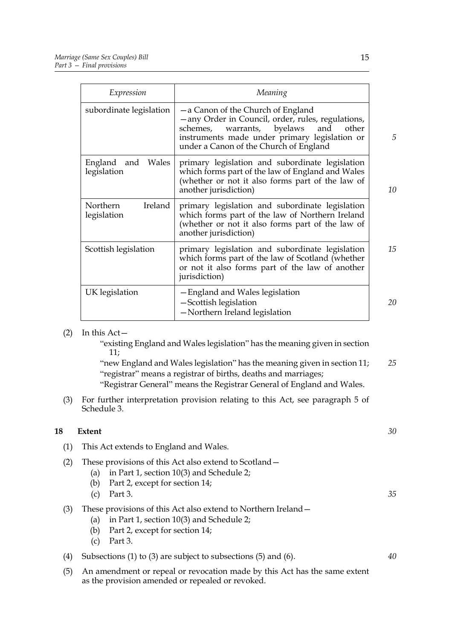| Expression                         | Meaning                                                                                                                                                                                                                       |  |
|------------------------------------|-------------------------------------------------------------------------------------------------------------------------------------------------------------------------------------------------------------------------------|--|
| subordinate legislation            | - a Canon of the Church of England<br>-any Order in Council, order, rules, regulations,<br>schemes, warrants, byelaws and<br>other<br>instruments made under primary legislation or<br>under a Canon of the Church of England |  |
| England and Wales<br>legislation   | primary legislation and subordinate legislation<br>which forms part of the law of England and Wales<br>(whether or not it also forms part of the law of<br>another jurisdiction)                                              |  |
| Ireland<br>Northern<br>legislation | primary legislation and subordinate legislation<br>which forms part of the law of Northern Ireland<br>(whether or not it also forms part of the law of<br>another jurisdiction)                                               |  |
| Scottish legislation               | primary legislation and subordinate legislation<br>which forms part of the law of Scotland (whether<br>or not it also forms part of the law of another<br>jurisdiction)                                                       |  |
| UK legislation                     | -England and Wales legislation<br>-Scottish legislation<br>-Northern Ireland legislation                                                                                                                                      |  |

(2) In this Act—

"existing England and Wales legislation" has the meaning given in section 11;

"new England and Wales legislation" has the meaning given in section 11; "registrar" means a registrar of births, deaths and marriages; *25*

"Registrar General" means the Registrar General of England and Wales.

(3) For further interpretation provision relating to this Act, see paragraph 5 of Schedule 3.

# **18 Extent**

- (1) This Act extends to England and Wales.
- (2) These provisions of this Act also extend to Scotland—
	- (a) in Part 1, section 10(3) and Schedule 2;
	- (b) Part 2, except for section 14;
	- (c) Part 3.
- (3) These provisions of this Act also extend to Northern Ireland—
	- (a) in Part 1, section 10(3) and Schedule 2;
	- (b) Part 2, except for section 14;
	- (c) Part 3.
- (4) Subsections (1) to (3) are subject to subsections (5) and (6).
- (5) An amendment or repeal or revocation made by this Act has the same extent as the provision amended or repealed or revoked.

*30*

*35*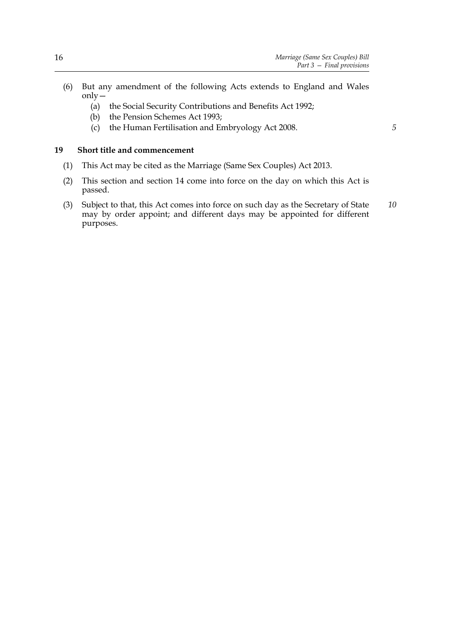- (6) But any amendment of the following Acts extends to England and Wales  $only -$ 
	- (a) the Social Security Contributions and Benefits Act 1992;
	- (b) the Pension Schemes Act 1993;
	- (c) the Human Fertilisation and Embryology Act 2008.

*5*

# **19 Short title and commencement**

- (1) This Act may be cited as the Marriage (Same Sex Couples) Act 2013.
- (2) This section and section 14 come into force on the day on which this Act is passed.
- (3) Subject to that, this Act comes into force on such day as the Secretary of State may by order appoint; and different days may be appointed for different purposes. *10*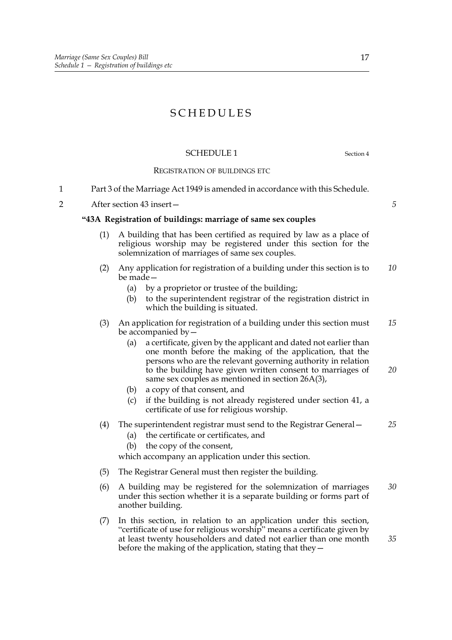# SCHEDULES

# SCHEDULE 1 Section 4

REGISTRATION OF BUILDINGS ETC

1 Part 3 of the Marriage Act 1949 is amended in accordance with this Schedule.

2 After section 43 insert—

# **"43A Registration of buildings: marriage of same sex couples**

- (1) A building that has been certified as required by law as a place of religious worship may be registered under this section for the solemnization of marriages of same sex couples.
- (2) Any application for registration of a building under this section is to be made— *10*
	- (a) by a proprietor or trustee of the building;
	- (b) to the superintendent registrar of the registration district in which the building is situated.
- (3) An application for registration of a building under this section must be accompanied by— *15*
	- (a) a certificate, given by the applicant and dated not earlier than one month before the making of the application, that the persons who are the relevant governing authority in relation to the building have given written consent to marriages of same sex couples as mentioned in section 26A(3), *20*
	- (b) a copy of that consent, and
	- (c) if the building is not already registered under section 41, a certificate of use for religious worship.
- (4) The superintendent registrar must send to the Registrar General— *25*
	- (a) the certificate or certificates, and
	- (b) the copy of the consent,

which accompany an application under this section.

- (5) The Registrar General must then register the building.
- (6) A building may be registered for the solemnization of marriages under this section whether it is a separate building or forms part of another building. *30*
- (7) In this section, in relation to an application under this section, "certificate of use for religious worship" means a certificate given by at least twenty householders and dated not earlier than one month before the making of the application, stating that they— *35*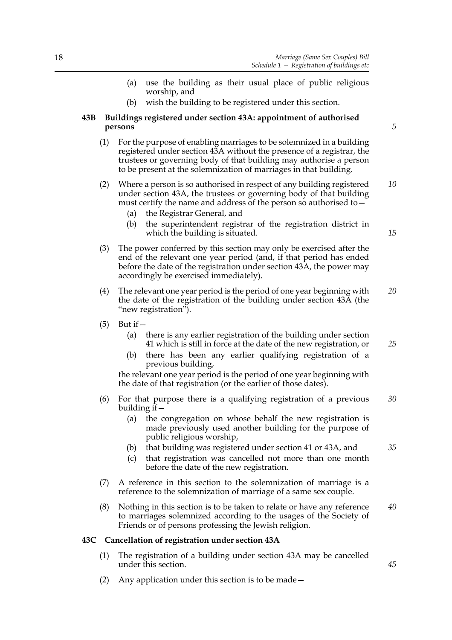- (a) use the building as their usual place of public religious worship, and
- (b) wish the building to be registered under this section.

# **43B Buildings registered under section 43A: appointment of authorised persons**

- (1) For the purpose of enabling marriages to be solemnized in a building registered under section 43A without the presence of a registrar, the trustees or governing body of that building may authorise a person to be present at the solemnization of marriages in that building.
- (2) Where a person is so authorised in respect of any building registered under section 43A, the trustees or governing body of that building must certify the name and address of the person so authorised to— *10*
	- (a) the Registrar General, and
	- (b) the superintendent registrar of the registration district in which the building is situated.
- (3) The power conferred by this section may only be exercised after the end of the relevant one year period (and, if that period has ended before the date of the registration under section 43A, the power may accordingly be exercised immediately).
- (4) The relevant one year period is the period of one year beginning with the date of the registration of the building under section 43A (the "new registration"). *20*
- $(5)$  But if  $-$ 
	- (a) there is any earlier registration of the building under section 41 which is still in force at the date of the new registration, or
	- (b) there has been any earlier qualifying registration of a previous building,

the relevant one year period is the period of one year beginning with the date of that registration (or the earlier of those dates).

- (6) For that purpose there is a qualifying registration of a previous building if— *30*
	- (a) the congregation on whose behalf the new registration is made previously used another building for the purpose of public religious worship,
	- (b) that building was registered under section 41 or 43A, and
	- (c) that registration was cancelled not more than one month before the date of the new registration.
- (7) A reference in this section to the solemnization of marriage is a reference to the solemnization of marriage of a same sex couple.
- (8) Nothing in this section is to be taken to relate or have any reference to marriages solemnized according to the usages of the Society of Friends or of persons professing the Jewish religion. *40*

# **43C Cancellation of registration under section 43A**

- (1) The registration of a building under section 43A may be cancelled under this section.
- (2) Any application under this section is to be made—

*15*

*5*

*25*

*35*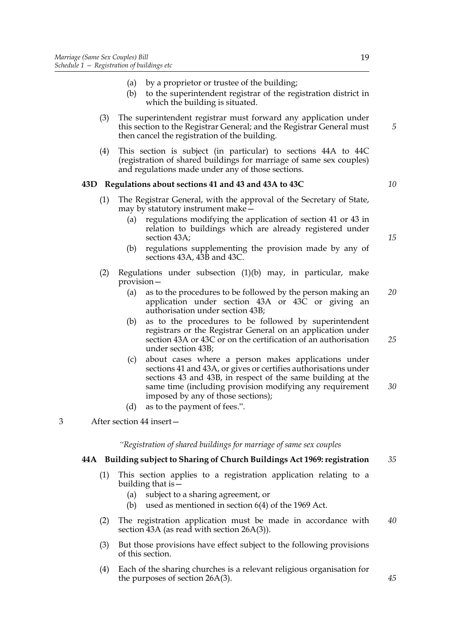- (a) by a proprietor or trustee of the building;
- (b) to the superintendent registrar of the registration district in which the building is situated.
- (3) The superintendent registrar must forward any application under this section to the Registrar General; and the Registrar General must then cancel the registration of the building.
- (4) This section is subject (in particular) to sections 44A to 44C (registration of shared buildings for marriage of same sex couples) and regulations made under any of those sections.

# **43D Regulations about sections 41 and 43 and 43A to 43C**

- (1) The Registrar General, with the approval of the Secretary of State, may by statutory instrument make—
	- (a) regulations modifying the application of section 41 or 43 in relation to buildings which are already registered under section 43A;
	- (b) regulations supplementing the provision made by any of sections 43A, 43B and 43C.
- (2) Regulations under subsection (1)(b) may, in particular, make provision—
	- (a) as to the procedures to be followed by the person making an application under section 43A or 43C or giving an authorisation under section 43B; *20*
	- (b) as to the procedures to be followed by superintendent registrars or the Registrar General on an application under section 43A or 43C or on the certification of an authorisation under section 43B; *25*
	- (c) about cases where a person makes applications under sections 41 and 43A, or gives or certifies authorisations under sections 43 and 43B, in respect of the same building at the same time (including provision modifying any requirement imposed by any of those sections); *30*
	- (d) as to the payment of fees.".
- 3 After section 44 insert—

*"Registration of shared buildings for marriage of same sex couples*

#### **44A Building subject to Sharing of Church Buildings Act 1969: registration** *35*

- (1) This section applies to a registration application relating to a building that is—
	- (a) subject to a sharing agreement, or
	- (b) used as mentioned in section 6(4) of the 1969 Act.
- (2) The registration application must be made in accordance with section 43A (as read with section 26A(3)). *40*
- (3) But those provisions have effect subject to the following provisions of this section.
- (4) Each of the sharing churches is a relevant religious organisation for the purposes of section 26A(3).

*5*

*10*

*15*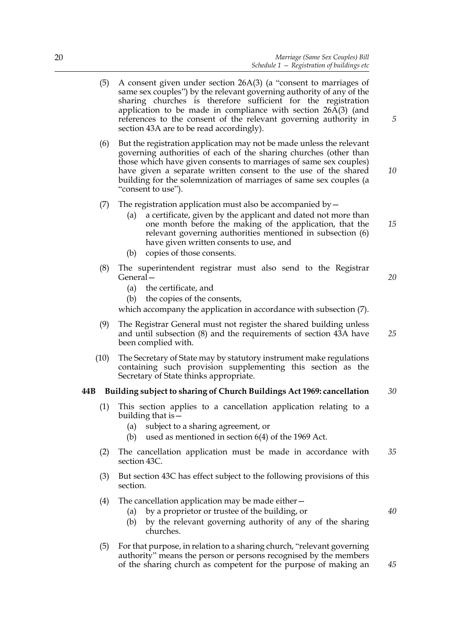| (5)  | A consent given under section $26A(3)$ (a "consent to marriages of<br>same sex couples") by the relevant governing authority of any of the<br>sharing churches is therefore sufficient for the registration<br>application to be made in compliance with section $26A(3)$ (and<br>references to the consent of the relevant governing authority in<br>section 43A are to be read accordingly). | 5  |
|------|------------------------------------------------------------------------------------------------------------------------------------------------------------------------------------------------------------------------------------------------------------------------------------------------------------------------------------------------------------------------------------------------|----|
| (6)  | But the registration application may not be made unless the relevant<br>governing authorities of each of the sharing churches (other than<br>those which have given consents to marriages of same sex couples)<br>have given a separate written consent to the use of the shared<br>building for the solemnization of marriages of same sex couples (a<br>"consent to use").                   | 10 |
| (7)  | The registration application must also be accompanied by $-$<br>a certificate, given by the applicant and dated not more than<br>(a)<br>one month before the making of the application, that the<br>relevant governing authorities mentioned in subsection (6)<br>have given written consents to use, and<br>copies of those consents.<br>(b)                                                  | 15 |
| (8)  | The superintendent registrar must also send to the Registrar<br>General-<br>(a) the certificate, and<br>the copies of the consents,<br>(b)<br>which accompany the application in accordance with subsection (7).                                                                                                                                                                               | 20 |
| (9)  | The Registrar General must not register the shared building unless<br>and until subsection (8) and the requirements of section 43A have<br>been complied with.                                                                                                                                                                                                                                 | 25 |
| (10) | The Secretary of State may by statutory instrument make regulations<br>containing such provision supplementing this section as the<br>Secretary of State thinks appropriate.                                                                                                                                                                                                                   |    |
| 44 B | Building subject to sharing of Church Buildings Act 1969: cancellation                                                                                                                                                                                                                                                                                                                         | 30 |
| (1)  | This section applies to a cancellation application relating to a<br>building that is -<br>subject to a sharing agreement, or<br>(a)<br>used as mentioned in section $6(4)$ of the 1969 Act.<br>(b)                                                                                                                                                                                             |    |
| (2)  | The cancellation application must be made in accordance with<br>section 43C.                                                                                                                                                                                                                                                                                                                   | 35 |
| (3)  | But section 43C has effect subject to the following provisions of this<br>section.                                                                                                                                                                                                                                                                                                             |    |
| (4)  | The cancellation application may be made either -<br>by a proprietor or trustee of the building, or<br>(a)<br>by the relevant governing authority of any of the sharing<br>(b)<br>churches.                                                                                                                                                                                                    | 40 |
| (5)  | For that purpose, in relation to a sharing church, "relevant governing<br>authority" means the person or persons recognised by the members<br>of the sharing church as competent for the purpose of making an                                                                                                                                                                                  | 45 |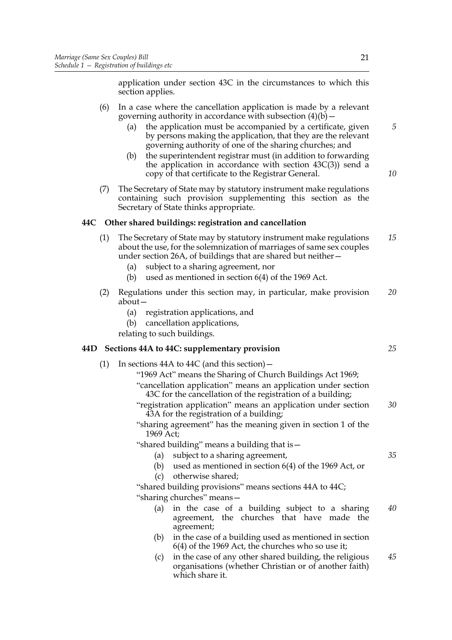application under section 43C in the circumstances to which this section applies.

- (6) In a case where the cancellation application is made by a relevant governing authority in accordance with subsection  $(4)(b)$  –
	- (a) the application must be accompanied by a certificate, given by persons making the application, that they are the relevant governing authority of one of the sharing churches; and
	- (b) the superintendent registrar must (in addition to forwarding the application in accordance with section  $43C(3)$ ) send a copy of that certificate to the Registrar General.
- (7) The Secretary of State may by statutory instrument make regulations containing such provision supplementing this section as the Secretary of State thinks appropriate.

# **44C Other shared buildings: registration and cancellation**

| 15 |
|----|
|    |
|    |
|    |

- (a) subject to a sharing agreement, nor
- (b) used as mentioned in section 6(4) of the 1969 Act.
- (2) Regulations under this section may, in particular, make provision about— *20*
	- (a) registration applications, and
	- (b) cancellation applications,

relating to such buildings.

# **44D Sections 44A to 44C: supplementary provision**

- (1) In sections  $44A$  to  $44C$  (and this section)
	- "1969 Act" means the Sharing of Church Buildings Act 1969;
	- "cancellation application" means an application under section 43C for the cancellation of the registration of a building;
	- "registration application" means an application under section 43A for the registration of a building; *30*
	- "sharing agreement" has the meaning given in section 1 of the 1969 Act;

"shared building" means a building that is—

- (a) subject to a sharing agreement,
- (b) used as mentioned in section 6(4) of the 1969 Act, or
- (c) otherwise shared;

"shared building provisions" means sections 44A to 44C; "sharing churches" means—

- (a) in the case of a building subject to a sharing agreement, the churches that have made the agreement; *40*
- (b) in the case of a building used as mentioned in section 6(4) of the 1969 Act, the churches who so use it;
- (c) in the case of any other shared building, the religious organisations (whether Christian or of another faith) which share it. *45*

*5*

*10*

*25*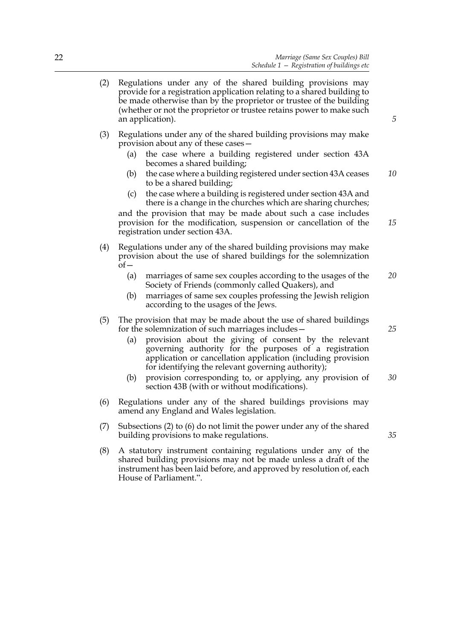| (2) | Regulations under any of the shared building provisions may<br>provide for a registration application relating to a shared building to<br>be made otherwise than by the proprietor or trustee of the building<br>(whether or not the proprietor or trustee retains power to make such<br>an application).                                                              |    |  |
|-----|------------------------------------------------------------------------------------------------------------------------------------------------------------------------------------------------------------------------------------------------------------------------------------------------------------------------------------------------------------------------|----|--|
| (3) | Regulations under any of the shared building provisions may make<br>provision about any of these cases -<br>the case where a building registered under section 43A<br>(a)                                                                                                                                                                                              |    |  |
|     | becomes a shared building;<br>the case where a building registered under section 43A ceases<br>(b)<br>to be a shared building;                                                                                                                                                                                                                                         | 10 |  |
|     | the case where a building is registered under section 43A and<br>(c)<br>there is a change in the churches which are sharing churches;<br>and the provision that may be made about such a case includes<br>provision for the modification, suspension or cancellation of the<br>registration under section 43A.                                                         | 15 |  |
| (4) | Regulations under any of the shared building provisions may make<br>provision about the use of shared buildings for the solemnization<br>$of -$                                                                                                                                                                                                                        |    |  |
|     | marriages of same sex couples according to the usages of the<br>(a)<br>Society of Friends (commonly called Quakers), and<br>marriages of same sex couples professing the Jewish religion<br>(b)<br>according to the usages of the Jews.                                                                                                                                | 20 |  |
| (5) | The provision that may be made about the use of shared buildings<br>for the solemnization of such marriages includes -<br>provision about the giving of consent by the relevant<br>(a)<br>governing authority for the purposes of a registration<br>application or cancellation application (including provision<br>for identifying the relevant governing authority); | 25 |  |
|     | provision corresponding to, or applying, any provision of<br>(b)<br>section 43B (with or without modifications).                                                                                                                                                                                                                                                       | 30 |  |
| (6) | Regulations under any of the shared buildings provisions may<br>amend any England and Wales legislation.                                                                                                                                                                                                                                                               |    |  |
| (7) | Subsections (2) to (6) do not limit the power under any of the shared<br>building provisions to make regulations.                                                                                                                                                                                                                                                      | 35 |  |

(8) A statutory instrument containing regulations under any of the shared building provisions may not be made unless a draft of the instrument has been laid before, and approved by resolution of, each House of Parliament.".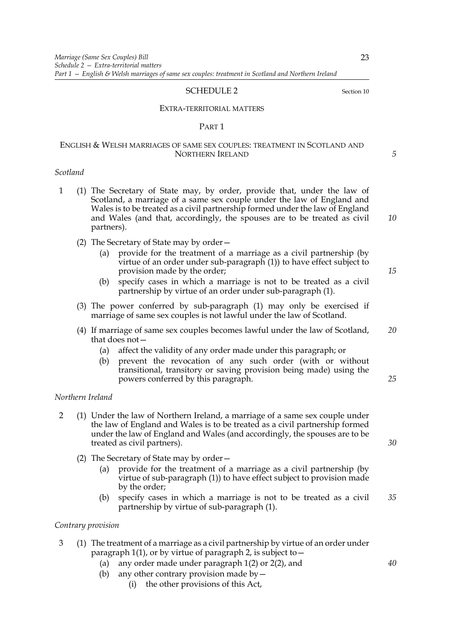#### SCHEDULE 2 Section 10

#### EXTRA-TERRITORIAL MATTERS

#### PART 1

# ENGLISH & WELSH MARRIAGES OF SAME SEX COUPLES: TREATMENT IN SCOTLAND AND NORTHERN IRELAND

#### *Scotland*

- 1 (1) The Secretary of State may, by order, provide that, under the law of Scotland, a marriage of a same sex couple under the law of England and Wales is to be treated as a civil partnership formed under the law of England and Wales (and that, accordingly, the spouses are to be treated as civil partners).
	- (2) The Secretary of State may by order—
		- (a) provide for the treatment of a marriage as a civil partnership (by virtue of an order under sub-paragraph (1)) to have effect subject to provision made by the order;
		- (b) specify cases in which a marriage is not to be treated as a civil partnership by virtue of an order under sub-paragraph (1).
	- (3) The power conferred by sub-paragraph (1) may only be exercised if marriage of same sex couples is not lawful under the law of Scotland.
	- (4) If marriage of same sex couples becomes lawful under the law of Scotland, that does not— *20*
		- (a) affect the validity of any order made under this paragraph; or
		- (b) prevent the revocation of any such order (with or without transitional, transitory or saving provision being made) using the powers conferred by this paragraph.

#### *Northern Ireland*

- 2 (1) Under the law of Northern Ireland, a marriage of a same sex couple under the law of England and Wales is to be treated as a civil partnership formed under the law of England and Wales (and accordingly, the spouses are to be treated as civil partners).
	- (2) The Secretary of State may by order—
		- (a) provide for the treatment of a marriage as a civil partnership (by virtue of sub-paragraph (1)) to have effect subject to provision made by the order;
		- (b) specify cases in which a marriage is not to be treated as a civil partnership by virtue of sub-paragraph (1). *35*

# *Contrary provision*

- 3 (1) The treatment of a marriage as a civil partnership by virtue of an order under paragraph 1(1), or by virtue of paragraph 2, is subject to  $-$ 
	- (a) any order made under paragraph 1(2) or 2(2), and
	- (b) any other contrary provision made by—
		- (i) the other provisions of this Act,

*5*

*10*

*15*

23

*30*

*25*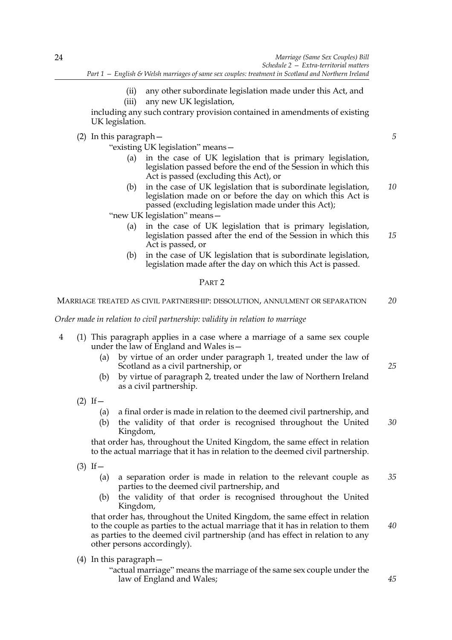- (ii) any other subordinate legislation made under this Act, and
- (iii) any new UK legislation,

including any such contrary provision contained in amendments of existing UK legislation.

(2) In this paragraph—

"existing UK legislation" means—

- in the case of UK legislation that is primary legislation, legislation passed before the end of the Session in which this Act is passed (excluding this Act), or
- (b) in the case of UK legislation that is subordinate legislation, legislation made on or before the day on which this Act is passed (excluding legislation made under this Act); *10*
- "new UK legislation" means—
	- (a) in the case of UK legislation that is primary legislation, legislation passed after the end of the Session in which this Act is passed, or *15*
	- (b) in the case of UK legislation that is subordinate legislation, legislation made after the day on which this Act is passed.

# PART 2

#### MARRIAGE TREATED AS CIVIL PARTNERSHIP: DISSOLUTION, ANNULMENT OR SEPARATION *20*

*Order made in relation to civil partnership: validity in relation to marriage*

- 4 (1) This paragraph applies in a case where a marriage of a same sex couple under the law of England and Wales is—
	- (a) by virtue of an order under paragraph 1, treated under the law of Scotland as a civil partnership, or
	- (b) by virtue of paragraph 2, treated under the law of Northern Ireland as a civil partnership.
	- $(2)$  If  $-$ 
		- (a) a final order is made in relation to the deemed civil partnership, and
		- (b) the validity of that order is recognised throughout the United Kingdom, *30*

that order has, throughout the United Kingdom, the same effect in relation to the actual marriage that it has in relation to the deemed civil partnership.

- $(3)$  If
	- (a) a separation order is made in relation to the relevant couple as parties to the deemed civil partnership, and *35*
	- (b) the validity of that order is recognised throughout the United Kingdom,

that order has, throughout the United Kingdom, the same effect in relation to the couple as parties to the actual marriage that it has in relation to them as parties to the deemed civil partnership (and has effect in relation to any other persons accordingly). *40*

- (4) In this paragraph—
	- "actual marriage" means the marriage of the same sex couple under the law of England and Wales;

*25*

*5*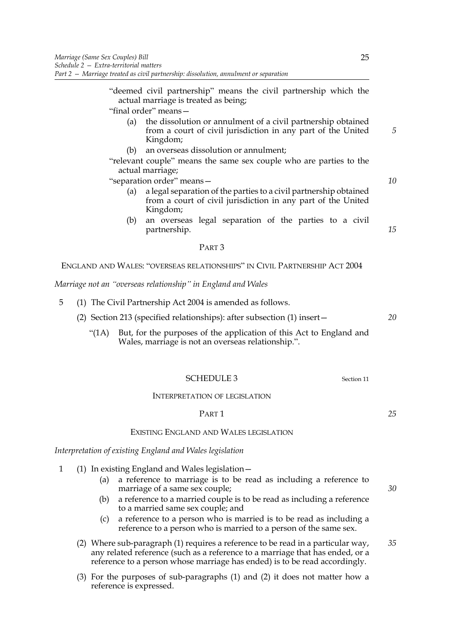"deemed civil partnership" means the civil partnership which the actual marriage is treated as being; "final order" means-

- (a) the dissolution or annulment of a civil partnership obtained from a court of civil jurisdiction in any part of the United Kingdom;
	- an overseas dissolution or annulment;
- "relevant couple" means the same sex couple who are parties to the actual marriage;

"separation order" means—

- a legal separation of the parties to a civil partnership obtained from a court of civil jurisdiction in any part of the United Kingdom;
- (b) an overseas legal separation of the parties to a civil partnership.

#### PART 3

ENGLAND AND WALES: "OVERSEAS RELATIONSHIPS" IN CIVIL PARTNERSHIP ACT 2004

*Marriage not an "overseas relationship" in England and Wales*

- 5 (1) The Civil Partnership Act 2004 is amended as follows.
	- (2) Section 213 (specified relationships): after subsection (1) insert—
		- "(1A) But, for the purposes of the application of this Act to England and Wales, marriage is not an overseas relationship.".

# SCHEDULE 3 Section 11

# INTERPRETATION OF LEGISLATION

# PART 1

#### EXISTING ENGLAND AND WALES LEGISLATION

# *Interpretation of existing England and Wales legislation*

- 1 (1) In existing England and Wales legislation—
	- (a) a reference to marriage is to be read as including a reference to marriage of a same sex couple;
	- (b) a reference to a married couple is to be read as including a reference to a married same sex couple; and
	- (c) a reference to a person who is married is to be read as including a reference to a person who is married to a person of the same sex.
	- (2) Where sub-paragraph (1) requires a reference to be read in a particular way, any related reference (such as a reference to a marriage that has ended, or a reference to a person whose marriage has ended) is to be read accordingly. *35*
	- (3) For the purposes of sub-paragraphs (1) and (2) it does not matter how a reference is expressed.

*5*

*10*

*15*

*20*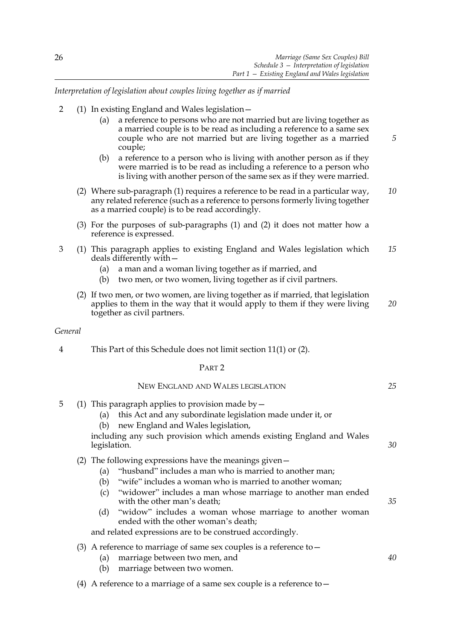| 26 | Marriage (Same Sex Couples) Bill                |
|----|-------------------------------------------------|
|    | Schedule 3 – Interpretation of legislation      |
|    | Part 1 – Existing England and Wales legislation |

*Interpretation of legislation about couples living together as if married*

- 2 (1) In existing England and Wales legislation—
	- (a) a reference to persons who are not married but are living together as a married couple is to be read as including a reference to a same sex couple who are not married but are living together as a married couple;

*5*

*30*

*35*

*40*

- (b) a reference to a person who is living with another person as if they were married is to be read as including a reference to a person who is living with another person of the same sex as if they were married.
- (2) Where sub-paragraph (1) requires a reference to be read in a particular way, any related reference (such as a reference to persons formerly living together as a married couple) is to be read accordingly. *10*
- (3) For the purposes of sub-paragraphs (1) and (2) it does not matter how a reference is expressed.
- 3 (1) This paragraph applies to existing England and Wales legislation which deals differently with— *15*
	- (a) a man and a woman living together as if married, and
	- (b) two men, or two women, living together as if civil partners.
	- (2) If two men, or two women, are living together as if married, that legislation applies to them in the way that it would apply to them if they were living together as civil partners. *20*

# *General*

4 This Part of this Schedule does not limit section 11(1) or (2).

#### PART 2

#### NEW ENGLAND AND WALES LEGISLATION *25*

- 5 (1) This paragraph applies to provision made by—
	- (a) this Act and any subordinate legislation made under it, or
	- (b) new England and Wales legislation,

including any such provision which amends existing England and Wales legislation.

# (2) The following expressions have the meanings given—

- (a) "husband" includes a man who is married to another man;
- (b) "wife" includes a woman who is married to another woman;
- (c) "widower" includes a man whose marriage to another man ended with the other man's death;
- (d) "widow" includes a woman whose marriage to another woman ended with the other woman's death;

and related expressions are to be construed accordingly.

# (3) A reference to marriage of same sex couples is a reference to  $-$

- (a) marriage between two men, and
- (b) marriage between two women.
- (4) A reference to a marriage of a same sex couple is a reference to  $-$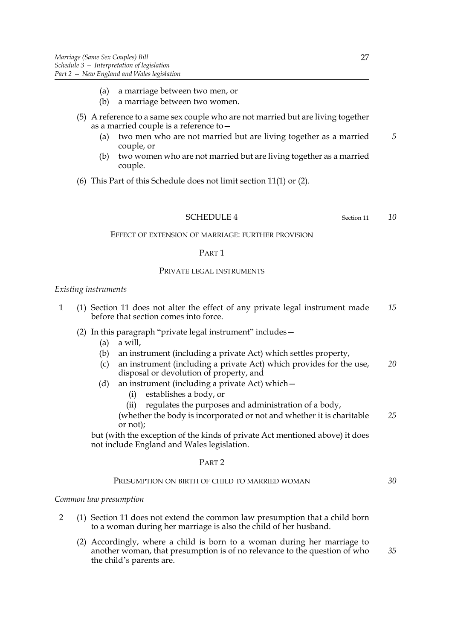- (a) a marriage between two men, or
- (b) a marriage between two women.
- (5) A reference to a same sex couple who are not married but are living together as a married couple is a reference to—
	- (a) two men who are not married but are living together as a married couple, or
	- (b) two women who are not married but are living together as a married couple.
- (6) This Part of this Schedule does not limit section 11(1) or (2).

#### SCHEDULE 4 Section 11

#### EFFECT OF EXTENSION OF MARRIAGE: FURTHER PROVISION

# PART 1

#### PRIVATE LEGAL INSTRUMENTS

#### *Existing instruments*

|  | (1) Section 11 does not alter the effect of any private legal instrument made<br>before that section comes into force. | 15 |
|--|------------------------------------------------------------------------------------------------------------------------|----|
|  | (2) In this paragraph "private legal instrument" includes $-$                                                          |    |

- (a) a will,
- (b) an instrument (including a private Act) which settles property,
- (c) an instrument (including a private Act) which provides for the use, disposal or devolution of property, and *20*
- (d) an instrument (including a private Act) which—
	- (i) establishes a body, or
	- (ii) regulates the purposes and administration of a body,

(whether the body is incorporated or not and whether it is charitable or not); *25*

but (with the exception of the kinds of private Act mentioned above) it does not include England and Wales legislation.

#### PART 2

#### PRESUMPTION ON BIRTH OF CHILD TO MARRIED WOMAN *30*

#### *Common law presumption*

- 2 (1) Section 11 does not extend the common law presumption that a child born to a woman during her marriage is also the child of her husband.
	- (2) Accordingly, where a child is born to a woman during her marriage to another woman, that presumption is of no relevance to the question of who the child's parents are.

*5*

*10*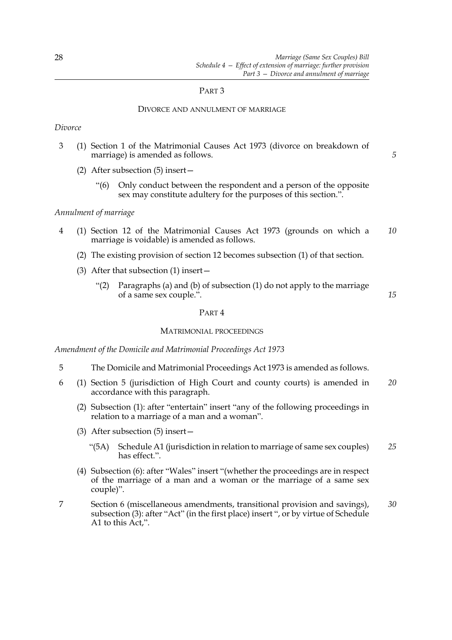# PART 3

#### DIVORCE AND ANNULMENT OF MARRIAGE

# *Divorce*

- 3 (1) Section 1 of the Matrimonial Causes Act 1973 (divorce on breakdown of marriage) is amended as follows.
	- (2) After subsection (5) insert—
		- "(6) Only conduct between the respondent and a person of the opposite sex may constitute adultery for the purposes of this section.".

# *Annulment of marriage*

- 4 (1) Section 12 of the Matrimonial Causes Act 1973 (grounds on which a marriage is voidable) is amended as follows. *10*
	- (2) The existing provision of section 12 becomes subsection (1) of that section.
	- (3) After that subsection (1) insert—
		- "(2) Paragraphs (a) and (b) of subsection (1) do not apply to the marriage of a same sex couple.".

# *15*

*5*

#### PART 4

#### MATRIMONIAL PROCEEDINGS

*Amendment of the Domicile and Matrimonial Proceedings Act 1973*

- 5 The Domicile and Matrimonial Proceedings Act 1973 is amended as follows.
- 6 (1) Section 5 (jurisdiction of High Court and county courts) is amended in accordance with this paragraph. *20*
	- (2) Subsection (1): after "entertain" insert "any of the following proceedings in relation to a marriage of a man and a woman".
	- (3) After subsection (5) insert—
		- "(5A) Schedule A1 (jurisdiction in relation to marriage of same sex couples) has effect.". *25*
	- (4) Subsection (6): after "Wales" insert "(whether the proceedings are in respect of the marriage of a man and a woman or the marriage of a same sex couple)".
- 7 Section 6 (miscellaneous amendments, transitional provision and savings), subsection (3): after "Act" (in the first place) insert ", or by virtue of Schedule A1 to this Act,". *30*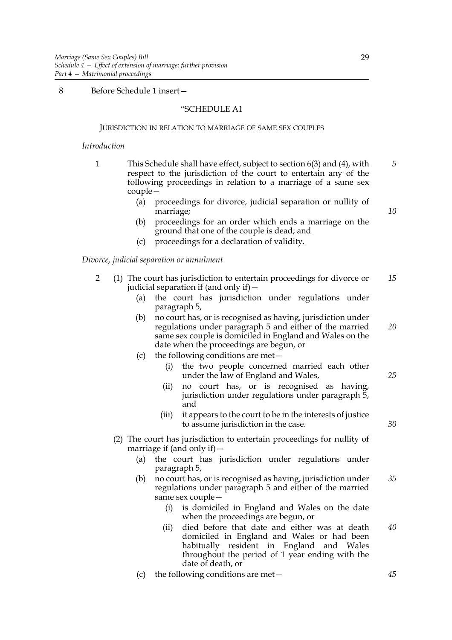# 8 Before Schedule 1 insert—

#### "SCHEDULE A1

#### JURISDICTION IN RELATION TO MARRIAGE OF SAME SEX COUPLES

# *Introduction*

- 1 This Schedule shall have effect, subject to section 6(3) and (4), with respect to the jurisdiction of the court to entertain any of the following proceedings in relation to a marriage of a same sex couple— *5*
	- (a) proceedings for divorce, judicial separation or nullity of marriage;
	- (b) proceedings for an order which ends a marriage on the ground that one of the couple is dead; and
	- (c) proceedings for a declaration of validity.

*Divorce, judicial separation or annulment*

- 2 (1) The court has jurisdiction to entertain proceedings for divorce or judicial separation if (and only if)— *15*
	- (a) the court has jurisdiction under regulations under paragraph 5,
	- (b) no court has, or is recognised as having, jurisdiction under regulations under paragraph 5 and either of the married same sex couple is domiciled in England and Wales on the date when the proceedings are begun, or *20*
	- (c) the following conditions are met  $-$ 
		- (i) the two people concerned married each other under the law of England and Wales,
		- (ii) no court has, or is recognised as having, jurisdiction under regulations under paragraph 5, and
		- (iii) it appears to the court to be in the interests of justice to assume jurisdiction in the case.
	- (2) The court has jurisdiction to entertain proceedings for nullity of marriage if (and only if)—
		- (a) the court has jurisdiction under regulations under paragraph 5,
		- (b) no court has, or is recognised as having, jurisdiction under regulations under paragraph 5 and either of the married same sex couple— *35*
			- (i) is domiciled in England and Wales on the date when the proceedings are begun, or
			- (ii) died before that date and either was at death domiciled in England and Wales or had been habitually resident in England and Wales throughout the period of 1 year ending with the date of death, or *40*
		- (c) the following conditions are met $-$

*25*

*30*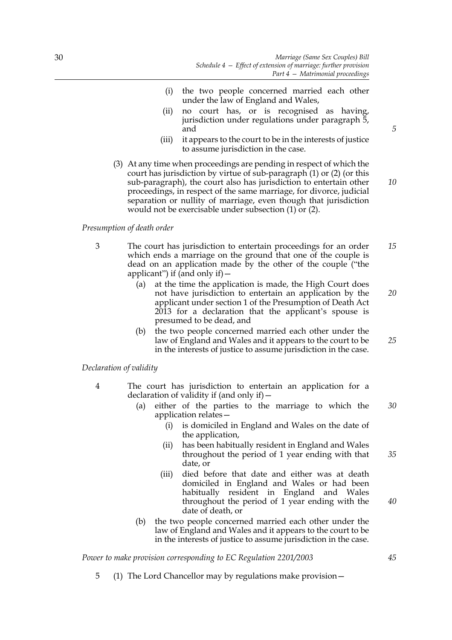- (i) the two people concerned married each other under the law of England and Wales,
- (ii) no court has, or is recognised as having, jurisdiction under regulations under paragraph 5, and
- (iii) it appears to the court to be in the interests of justice to assume jurisdiction in the case.
- (3) At any time when proceedings are pending in respect of which the court has jurisdiction by virtue of sub-paragraph (1) or (2) (or this sub-paragraph), the court also has jurisdiction to entertain other proceedings, in respect of the same marriage, for divorce, judicial separation or nullity of marriage, even though that jurisdiction would not be exercisable under subsection (1) or (2).

# *Presumption of death order*

- 3 The court has jurisdiction to entertain proceedings for an order which ends a marriage on the ground that one of the couple is dead on an application made by the other of the couple ("the applicant") if (and only if)— *15*
	- (a) at the time the application is made, the High Court does not have jurisdiction to entertain an application by the applicant under section 1 of the Presumption of Death Act 2013 for a declaration that the applicant's spouse is presumed to be dead, and
	- (b) the two people concerned married each other under the law of England and Wales and it appears to the court to be in the interests of justice to assume jurisdiction in the case.

#### *Declaration of validity*

- 4 The court has jurisdiction to entertain an application for a declaration of validity if (and only if)—
	- (a) either of the parties to the marriage to which the application relates— *30*
		- (i) is domiciled in England and Wales on the date of the application,
		- (ii) has been habitually resident in England and Wales throughout the period of 1 year ending with that date, or
		- (iii) died before that date and either was at death domiciled in England and Wales or had been habitually resident in England and Wales throughout the period of 1 year ending with the date of death, or
	- (b) the two people concerned married each other under the law of England and Wales and it appears to the court to be in the interests of justice to assume jurisdiction in the case.

*Power to make provision corresponding to EC Regulation 2201/2003*

5 (1) The Lord Chancellor may by regulations make provision—

*5*

*10*

*20*

*25*

*35*

*40*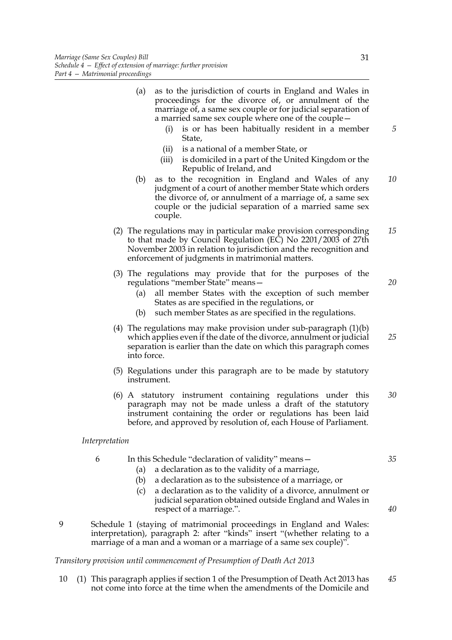- (a) as to the jurisdiction of courts in England and Wales in proceedings for the divorce of, or annulment of the marriage of, a same sex couple or for judicial separation of a married same sex couple where one of the couple—
	- (i) is or has been habitually resident in a member State, *5*
	- (ii) is a national of a member State, or
	- (iii) is domiciled in a part of the United Kingdom or the Republic of Ireland, and
- (b) as to the recognition in England and Wales of any judgment of a court of another member State which orders the divorce of, or annulment of a marriage of, a same sex couple or the judicial separation of a married same sex couple. *10*
- (2) The regulations may in particular make provision corresponding to that made by Council Regulation (EC) No 2201/2003 of 27th November 2003 in relation to jurisdiction and the recognition and enforcement of judgments in matrimonial matters. *15*
- (3) The regulations may provide that for the purposes of the regulations "member State" means—
	- (a) all member States with the exception of such member States as are specified in the regulations, or
	- (b) such member States as are specified in the regulations.
- (4) The regulations may make provision under sub-paragraph (1)(b) which applies even if the date of the divorce, annulment or judicial separation is earlier than the date on which this paragraph comes into force. *25*
- (5) Regulations under this paragraph are to be made by statutory instrument.
- (6) A statutory instrument containing regulations under this paragraph may not be made unless a draft of the statutory instrument containing the order or regulations has been laid before, and approved by resolution of, each House of Parliament. *30*

*Interpretation*

| In this Schedule "declaration of validity" means -  |  |
|-----------------------------------------------------|--|
| (a) a declaration as to the validity of a marriage, |  |

- (b) a declaration as to the subsistence of a marriage, or
- (c) a declaration as to the validity of a divorce, annulment or judicial separation obtained outside England and Wales in respect of a marriage.".
- 9 Schedule 1 (staying of matrimonial proceedings in England and Wales: interpretation), paragraph 2: after "kinds" insert "(whether relating to a marriage of a man and a woman or a marriage of a same sex couple)".

# *Transitory provision until commencement of Presumption of Death Act 2013*

10 (1) This paragraph applies if section 1 of the Presumption of Death Act 2013 has not come into force at the time when the amendments of the Domicile and *45*

*20*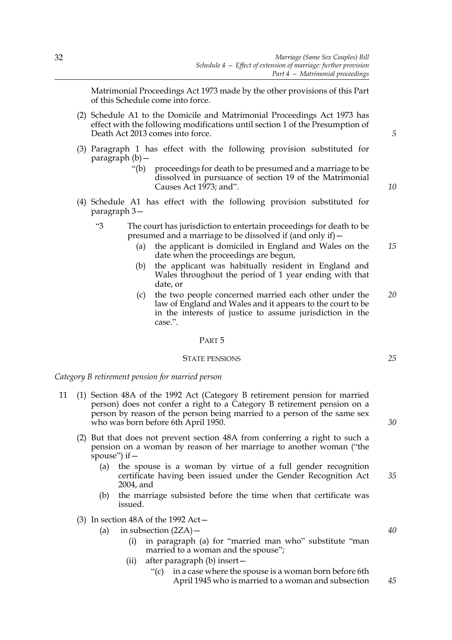Matrimonial Proceedings Act 1973 made by the other provisions of this Part of this Schedule come into force.

- (2) Schedule A1 to the Domicile and Matrimonial Proceedings Act 1973 has effect with the following modifications until section 1 of the Presumption of Death Act 2013 comes into force.
- (3) Paragraph 1 has effect with the following provision substituted for paragraph (b)—
	- "(b) proceedings for death to be presumed and a marriage to be dissolved in pursuance of section 19 of the Matrimonial Causes Act 1973; and".
- (4) Schedule A1 has effect with the following provision substituted for paragraph 3—
	- "3 The court has jurisdiction to entertain proceedings for death to be presumed and a marriage to be dissolved if (and only if)—
		- (a) the applicant is domiciled in England and Wales on the date when the proceedings are begun, *15*
		- (b) the applicant was habitually resident in England and Wales throughout the period of 1 year ending with that date, or
		- (c) the two people concerned married each other under the law of England and Wales and it appears to the court to be in the interests of justice to assume jurisdiction in the case.". *20*

# PART 5

#### STATE PENSIONS

*Category B retirement pension for married person*

- 11 (1) Section 48A of the 1992 Act (Category B retirement pension for married person) does not confer a right to a Category B retirement pension on a person by reason of the person being married to a person of the same sex who was born before 6th April 1950.
	- (2) But that does not prevent section 48A from conferring a right to such a pension on a woman by reason of her marriage to another woman ("the spouse") if  $-$ 
		- (a) the spouse is a woman by virtue of a full gender recognition certificate having been issued under the Gender Recognition Act 2004, and *35*
		- (b) the marriage subsisted before the time when that certificate was issued.
	- (3) In section 48A of the 1992 Act—
		- (a) in subsection  $(2ZA)$ 
			- (i) in paragraph (a) for "married man who" substitute "man married to a woman and the spouse";
			- (ii) after paragraph (b) insert—
				- "(c) in a case where the spouse is a woman born before 6th April 1945 who is married to a woman and subsection *45*

*25*

*5*

*10*

*30*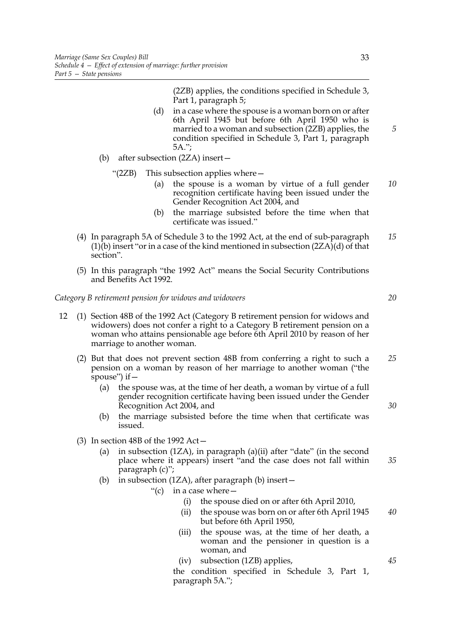(2ZB) applies, the conditions specified in Schedule 3, Part 1, paragraph 5;

- (d) in a case where the spouse is a woman born on or after 6th April 1945 but before 6th April 1950 who is married to a woman and subsection (2ZB) applies, the condition specified in Schedule 3, Part 1, paragraph 5A.";
- (b) after subsection (2ZA) insert—
	- "(2ZB) This subsection applies where—
		- (a) the spouse is a woman by virtue of a full gender recognition certificate having been issued under the Gender Recognition Act 2004, and *10*
		- (b) the marriage subsisted before the time when that certificate was issued."
- (4) In paragraph 5A of Schedule 3 to the 1992 Act, at the end of sub-paragraph (1)(b) insert "or in a case of the kind mentioned in subsection (2ZA)(d) of that section". *15*
- (5) In this paragraph "the 1992 Act" means the Social Security Contributions and Benefits Act 1992.

# *Category B retirement pension for widows and widowers*

- 12 (1) Section 48B of the 1992 Act (Category B retirement pension for widows and widowers) does not confer a right to a Category B retirement pension on a woman who attains pensionable age before 6th April 2010 by reason of her marriage to another woman.
	- (2) But that does not prevent section 48B from conferring a right to such a pension on a woman by reason of her marriage to another woman ("the spouse") if— *25*
		- (a) the spouse was, at the time of her death, a woman by virtue of a full gender recognition certificate having been issued under the Gender Recognition Act 2004, and
		- (b) the marriage subsisted before the time when that certificate was issued.
	- (3) In section  $48B$  of the 1992 Act-
		- (a) in subsection  $(1ZA)$ , in paragraph  $(a)(ii)$  after "date" (in the second place where it appears) insert "and the case does not fall within paragraph (c)"; *35*
		- (b) in subsection  $(1ZA)$ , after paragraph (b) insert  $-$ 
			- "(c) in a case where  $-$ 
				- (i) the spouse died on or after 6th April 2010,
				- (ii) the spouse was born on or after 6th April 1945 but before 6th April 1950, *40*
				- (iii) the spouse was, at the time of her death, a woman and the pensioner in question is a woman, and
				- (iv) subsection (1ZB) applies,

the condition specified in Schedule 3, Part 1, paragraph 5A.";

*30*

*5*

33

*20*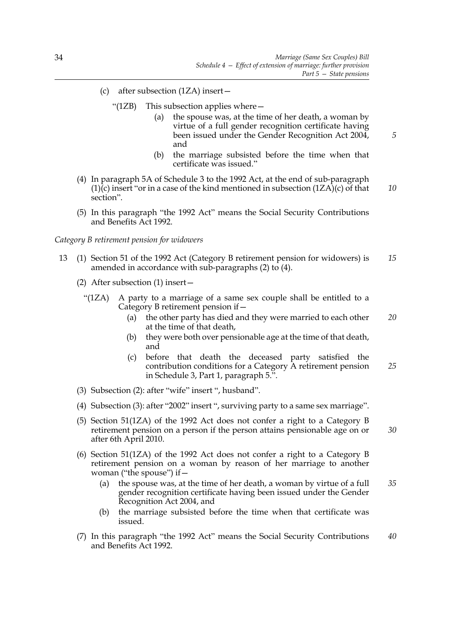*5*

- (c) after subsection (1ZA) insert—
	- "( $1ZB$ ) This subsection applies where  $-$ 
		- (a) the spouse was, at the time of her death, a woman by virtue of a full gender recognition certificate having been issued under the Gender Recognition Act 2004, and
		- (b) the marriage subsisted before the time when that certificate was issued."
- (4) In paragraph 5A of Schedule 3 to the 1992 Act, at the end of sub-paragraph  $(1)(c)$  insert "or in a case of the kind mentioned in subsection  $(1ZA)(c)$  of that section". *10*
- (5) In this paragraph "the 1992 Act" means the Social Security Contributions and Benefits Act 1992.

#### *Category B retirement pension for widowers*

- 13 (1) Section 51 of the 1992 Act (Category B retirement pension for widowers) is amended in accordance with sub-paragraphs (2) to (4). *15*
	- (2) After subsection (1) insert—
		- "(1ZA) A party to a marriage of a same sex couple shall be entitled to a Category B retirement pension if—
			- (a) the other party has died and they were married to each other at the time of that death, *20*
			- (b) they were both over pensionable age at the time of that death, and
			- (c) before that death the deceased party satisfied the contribution conditions for a Category A retirement pension in Schedule 3, Part 1, paragraph 5.". *25*
	- (3) Subsection (2): after "wife" insert ", husband".
	- (4) Subsection (3): after "2002" insert ", surviving party to a same sex marriage".
	- (5) Section 51(1ZA) of the 1992 Act does not confer a right to a Category B retirement pension on a person if the person attains pensionable age on or after 6th April 2010. *30*
	- (6) Section 51(1ZA) of the 1992 Act does not confer a right to a Category B retirement pension on a woman by reason of her marriage to another woman ("the spouse") if—
		- (a) the spouse was, at the time of her death, a woman by virtue of a full gender recognition certificate having been issued under the Gender Recognition Act 2004, and *35*
		- (b) the marriage subsisted before the time when that certificate was issued.
	- (7) In this paragraph "the 1992 Act" means the Social Security Contributions and Benefits Act 1992. *40*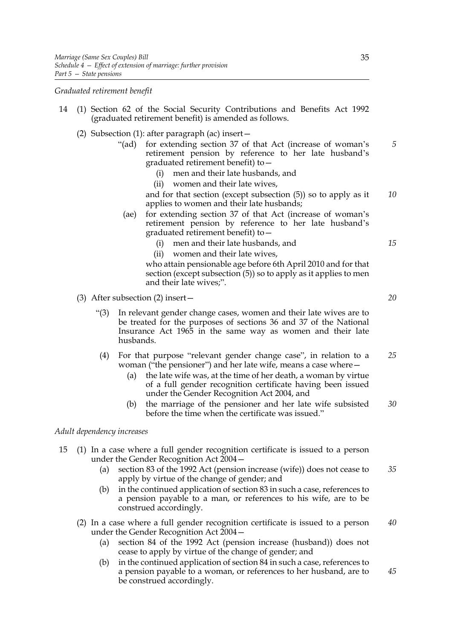*Graduated retirement benefit*

- 14 (1) Section 62 of the Social Security Contributions and Benefits Act 1992 (graduated retirement benefit) is amended as follows.
	- (2) Subsection (1): after paragraph (ac) insert—
		- "(ad) for extending section 37 of that Act (increase of woman's retirement pension by reference to her late husband's graduated retirement benefit) to— *5*
			- (i) men and their late husbands, and
			- (ii) women and their late wives,

and for that section (except subsection (5)) so to apply as it applies to women and their late husbands; *10*

- (ae) for extending section 37 of that Act (increase of woman's retirement pension by reference to her late husband's graduated retirement benefit) to—
	- (i) men and their late husbands, and
	- (ii) women and their late wives,

who attain pensionable age before 6th April 2010 and for that section (except subsection  $(5)$ ) so to apply as it applies to men and their late wives;".

- (3) After subsection (2) insert—
	- "(3) In relevant gender change cases, women and their late wives are to be treated for the purposes of sections 36 and 37 of the National Insurance Act 1965 in the same way as women and their late husbands.
	- (4) For that purpose "relevant gender change case", in relation to a woman ("the pensioner") and her late wife, means a case where— *25*
		- (a) the late wife was, at the time of her death, a woman by virtue of a full gender recognition certificate having been issued under the Gender Recognition Act 2004, and
		- (b) the marriage of the pensioner and her late wife subsisted before the time when the certificate was issued." *30*

*Adult dependency increases*

- 15 (1) In a case where a full gender recognition certificate is issued to a person under the Gender Recognition Act 2004—
	- (a) section 83 of the 1992 Act (pension increase (wife)) does not cease to apply by virtue of the change of gender; and *35*
	- (b) in the continued application of section 83 in such a case, references to a pension payable to a man, or references to his wife, are to be construed accordingly.
	- (2) In a case where a full gender recognition certificate is issued to a person under the Gender Recognition Act 2004— *40*
		- (a) section 84 of the 1992 Act (pension increase (husband)) does not cease to apply by virtue of the change of gender; and
		- (b) in the continued application of section 84 in such a case, references to a pension payable to a woman, or references to her husband, are to be construed accordingly.

*20*

*45*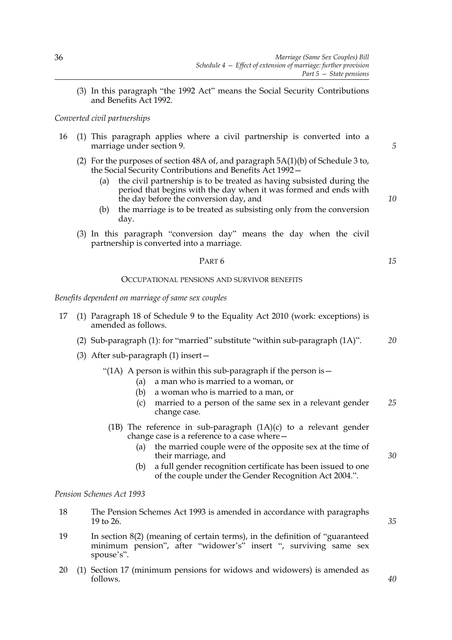(3) In this paragraph "the 1992 Act" means the Social Security Contributions and Benefits Act 1992.

# *Converted civil partnerships*

- 16 (1) This paragraph applies where a civil partnership is converted into a marriage under section 9.
	- (2) For the purposes of section 48A of, and paragraph 5A(1)(b) of Schedule 3 to, the Social Security Contributions and Benefits Act 1992—
		- (a) the civil partnership is to be treated as having subsisted during the period that begins with the day when it was formed and ends with the day before the conversion day, and
		- (b) the marriage is to be treated as subsisting only from the conversion day.
	- (3) In this paragraph "conversion day" means the day when the civil partnership is converted into a marriage.

PART 6

# OCCUPATIONAL PENSIONS AND SURVIVOR BENEFITS

*Benefits dependent on marriage of same sex couples*

- 17 (1) Paragraph 18 of Schedule 9 to the Equality Act 2010 (work: exceptions) is amended as follows.
	- (2) Sub-paragraph (1): for "married" substitute "within sub-paragraph (1A)". *20*
	- (3) After sub-paragraph (1) insert—
		- "(1A) A person is within this sub-paragraph if the person is  $-$ 
			- (a) a man who is married to a woman, or
			- (b) a woman who is married to a man, or
			- (c) married to a person of the same sex in a relevant gender change case. *25*
		- (1B) The reference in sub-paragraph (1A)(c) to a relevant gender change case is a reference to a case where—
			- (a) the married couple were of the opposite sex at the time of their marriage, and
			- (b) a full gender recognition certificate has been issued to one of the couple under the Gender Recognition Act 2004.".

#### *Pension Schemes Act 1993*

- 18 The Pension Schemes Act 1993 is amended in accordance with paragraphs 19 to 26.
- 19 In section 8(2) (meaning of certain terms), in the definition of "guaranteed minimum pension", after "widower's" insert ", surviving same sex spouse's".
- 20 (1) Section 17 (minimum pensions for widows and widowers) is amended as follows.

*15*

*10*

*5*

*35*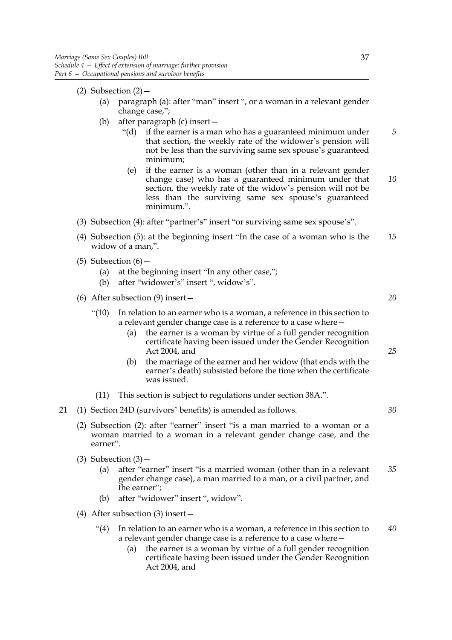- (2) Subsection  $(2)$ 
	- (a) paragraph (a): after "man" insert ", or a woman in a relevant gender change case,";
	- (b) after paragraph (c) insert—
		- "(d) if the earner is a man who has a guaranteed minimum under that section, the weekly rate of the widower's pension will not be less than the surviving same sex spouse's guaranteed minimum;
		- (e) if the earner is a woman (other than in a relevant gender change case) who has a guaranteed minimum under that section, the weekly rate of the widow's pension will not be less than the surviving same sex spouse's guaranteed minimum.". *10*
- (3) Subsection (4): after "partner's" insert "or surviving same sex spouse's".
- (4) Subsection (5): at the beginning insert "In the case of a woman who is the widow of a man,". *15*
- (5) Subsection  $(6)$ 
	- (a) at the beginning insert "In any other case,";
	- (b) after "widower's" insert ", widow's".
- (6) After subsection (9) insert—
	- "(10) In relation to an earner who is a woman, a reference in this section to a relevant gender change case is a reference to a case where—
		- (a) the earner is a woman by virtue of a full gender recognition certificate having been issued under the Gender Recognition Act 2004, and
		- (b) the marriage of the earner and her widow (that ends with the earner's death) subsisted before the time when the certificate was issued.
	- (11) This section is subject to regulations under section 38A.".
- 21 (1) Section 24D (survivors' benefits) is amended as follows.
	- (2) Subsection (2): after "earner" insert "is a man married to a woman or a woman married to a woman in a relevant gender change case, and the earner".
	- (3) Subsection  $(3)$ 
		- (a) after "earner" insert "is a married woman (other than in a relevant gender change case), a man married to a man, or a civil partner, and the earner"; *35*
		- (b) after "widower" insert ", widow".
	- (4) After subsection (3) insert—
		- "(4) In relation to an earner who is a woman, a reference in this section to a relevant gender change case is a reference to a case where— *40*
			- (a) the earner is a woman by virtue of a full gender recognition certificate having been issued under the Gender Recognition Act 2004, and

*25*

*30*

*20*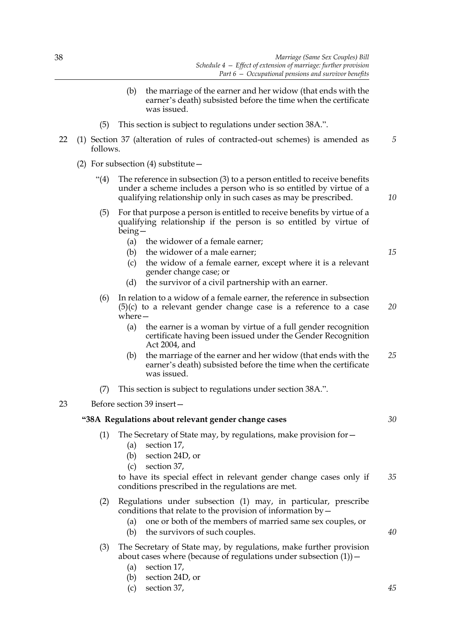- (b) the marriage of the earner and her widow (that ends with the earner's death) subsisted before the time when the certificate was issued.
- (5) This section is subject to regulations under section 38A.".
- 22 (1) Section 37 (alteration of rules of contracted-out schemes) is amended as follows. *5*
	- (2) For subsection (4) substitute  $-$ 
		- "(4) The reference in subsection (3) to a person entitled to receive benefits under a scheme includes a person who is so entitled by virtue of a qualifying relationship only in such cases as may be prescribed.
		- (5) For that purpose a person is entitled to receive benefits by virtue of a qualifying relationship if the person is so entitled by virtue of being—
			- (a) the widower of a female earner;
			- (b) the widower of a male earner;
			- (c) the widow of a female earner, except where it is a relevant gender change case; or
			- (d) the survivor of a civil partnership with an earner.
		- (6) In relation to a widow of a female earner, the reference in subsection (5)(c) to a relevant gender change case is a reference to a case where— *20*
			- (a) the earner is a woman by virtue of a full gender recognition certificate having been issued under the Gender Recognition Act 2004, and
			- (b) the marriage of the earner and her widow (that ends with the earner's death) subsisted before the time when the certificate was issued. *25*
		- (7) This section is subject to regulations under section 38A.".
- 23 Before section 39 insert—

# **"38A Regulations about relevant gender change cases**

- (1) The Secretary of State may, by regulations, make provision for—
	- (a) section 17,
	- (b) section 24D, or
	- (c) section 37,

to have its special effect in relevant gender change cases only if conditions prescribed in the regulations are met. *35*

- (2) Regulations under subsection (1) may, in particular, prescribe conditions that relate to the provision of information by—
	- (a) one or both of the members of married same sex couples, or
	- (b) the survivors of such couples.
- (3) The Secretary of State may, by regulations, make further provision about cases where (because of regulations under subsection  $(1)$ ) –
	- (a) section 17,
	- (b) section 24D, or
	- (c) section 37,

*15*

*10*

*30*

*40*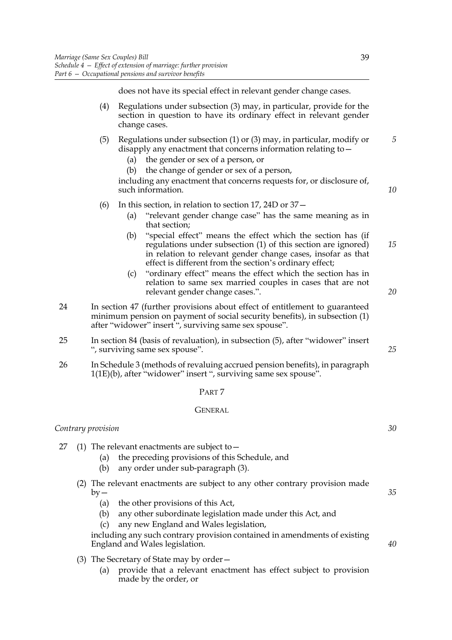does not have its special effect in relevant gender change cases.

| (4) Regulations under subsection (3) may, in particular, provide for the |  |  |  |  |
|--------------------------------------------------------------------------|--|--|--|--|
| section in question to have its ordinary effect in relevant gender       |  |  |  |  |
| change cases.                                                            |  |  |  |  |

- (5) Regulations under subsection (1) or (3) may, in particular, modify or disapply any enactment that concerns information relating to— *5*
	- (a) the gender or sex of a person, or
	- (b) the change of gender or sex of a person,

including any enactment that concerns requests for, or disclosure of, such information.

# (6) In this section, in relation to section 17, 24D or 37—

- (a) "relevant gender change case" has the same meaning as in that section;
- (b) "special effect" means the effect which the section has (if regulations under subsection (1) of this section are ignored) in relation to relevant gender change cases, insofar as that effect is different from the section's ordinary effect; *15*
- (c) "ordinary effect" means the effect which the section has in relation to same sex married couples in cases that are not relevant gender change cases.".
- 24 In section 47 (further provisions about effect of entitlement to guaranteed minimum pension on payment of social security benefits), in subsection (1) after "widower" insert ", surviving same sex spouse".
- 25 In section 84 (basis of revaluation), in subsection (5), after "widower" insert ", surviving same sex spouse".
- 26 In Schedule 3 (methods of revaluing accrued pension benefits), in paragraph 1(1E)(b), after "widower" insert ", surviving same sex spouse".

#### PART 7

#### **GENERAL**

# *Contrary provision*

- 27 (1) The relevant enactments are subject to—
	- (a) the preceding provisions of this Schedule, and
	- (b) any order under sub-paragraph (3).
	- (2) The relevant enactments are subject to any other contrary provision made  $by -$ 
		- (a) the other provisions of this Act,
		- (b) any other subordinate legislation made under this Act, and
		- (c) any new England and Wales legislation,

including any such contrary provision contained in amendments of existing England and Wales legislation.

- (3) The Secretary of State may by order—
	- (a) provide that a relevant enactment has effect subject to provision made by the order, or

*10*

*20*

*25*

*40*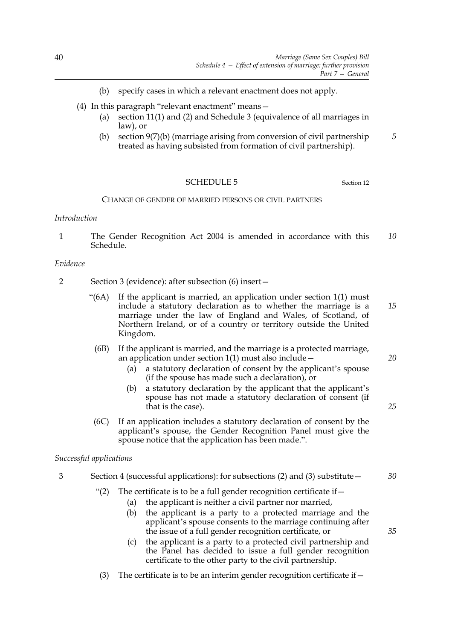- (b) specify cases in which a relevant enactment does not apply.
- (4) In this paragraph "relevant enactment" means—
	- (a) section 11(1) and (2) and Schedule 3 (equivalence of all marriages in law), or
	- (b) section 9(7)(b) (marriage arising from conversion of civil partnership treated as having subsisted from formation of civil partnership).

#### SCHEDULE 5 Section 12

CHANGE OF GENDER OF MARRIED PERSONS OR CIVIL PARTNERS

#### *Introduction*

1 The Gender Recognition Act 2004 is amended in accordance with this Schedule. *10*

# *Evidence*

- 2 Section 3 (evidence): after subsection (6) insert—
	- "(6A) If the applicant is married, an application under section 1(1) must include a statutory declaration as to whether the marriage is a marriage under the law of England and Wales, of Scotland, of Northern Ireland, or of a country or territory outside the United Kingdom.
	- (6B) If the applicant is married, and the marriage is a protected marriage, an application under section 1(1) must also include—
		- (a) a statutory declaration of consent by the applicant's spouse (if the spouse has made such a declaration), or
		- (b) a statutory declaration by the applicant that the applicant's spouse has not made a statutory declaration of consent (if that is the case).
	- (6C) If an application includes a statutory declaration of consent by the applicant's spouse, the Gender Recognition Panel must give the spouse notice that the application has been made.".

#### *Successful applications*

#### 3 Section 4 (successful applications): for subsections (2) and (3) substitute— *30*

- "(2) The certificate is to be a full gender recognition certificate if  $-$ 
	- (a) the applicant is neither a civil partner nor married,
	- (b) the applicant is a party to a protected marriage and the applicant's spouse consents to the marriage continuing after the issue of a full gender recognition certificate, or
	- (c) the applicant is a party to a protected civil partnership and the Panel has decided to issue a full gender recognition certificate to the other party to the civil partnership.
- (3) The certificate is to be an interim gender recognition certificate if  $-$

*5*

*15*

*20*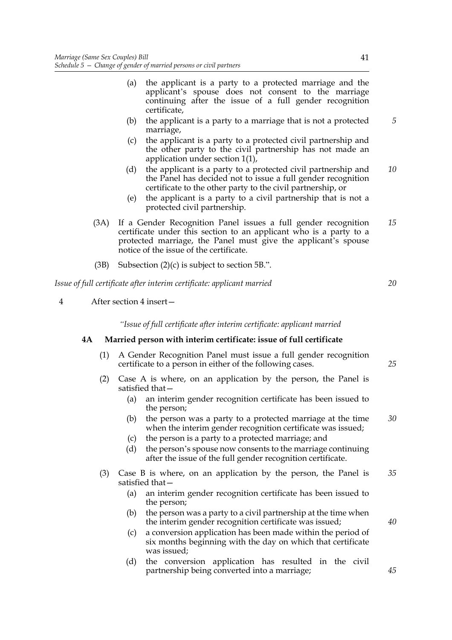- (a) the applicant is a party to a protected marriage and the applicant's spouse does not consent to the marriage continuing after the issue of a full gender recognition certificate,
- (b) the applicant is a party to a marriage that is not a protected marriage,
- (c) the applicant is a party to a protected civil partnership and the other party to the civil partnership has not made an application under section 1(1),
- (d) the applicant is a party to a protected civil partnership and the Panel has decided not to issue a full gender recognition certificate to the other party to the civil partnership, or *10*
- (e) the applicant is a party to a civil partnership that is not a protected civil partnership.
- (3A) If a Gender Recognition Panel issues a full gender recognition certificate under this section to an applicant who is a party to a protected marriage, the Panel must give the applicant's spouse notice of the issue of the certificate. *15*
- (3B) Subsection  $(2)(c)$  is subject to section 5B.".

*Issue of full certificate after interim certificate: applicant married*

4 After section 4 insert—

*"Issue of full certificate after interim certificate: applicant married*

# **4A Married person with interim certificate: issue of full certificate**

- (1) A Gender Recognition Panel must issue a full gender recognition certificate to a person in either of the following cases.
- (2) Case A is where, on an application by the person, the Panel is satisfied that—
	- (a) an interim gender recognition certificate has been issued to the person;
	- (b) the person was a party to a protected marriage at the time when the interim gender recognition certificate was issued; *30*
	- (c) the person is a party to a protected marriage; and
	- (d) the person's spouse now consents to the marriage continuing after the issue of the full gender recognition certificate.
- (3) Case B is where, on an application by the person, the Panel is satisfied that— *35*
	- (a) an interim gender recognition certificate has been issued to the person;
	- (b) the person was a party to a civil partnership at the time when the interim gender recognition certificate was issued;
	- (c) a conversion application has been made within the period of six months beginning with the day on which that certificate was issued;
	- (d) the conversion application has resulted in the civil partnership being converted into a marriage;

*5*

*20*

*25*

*40*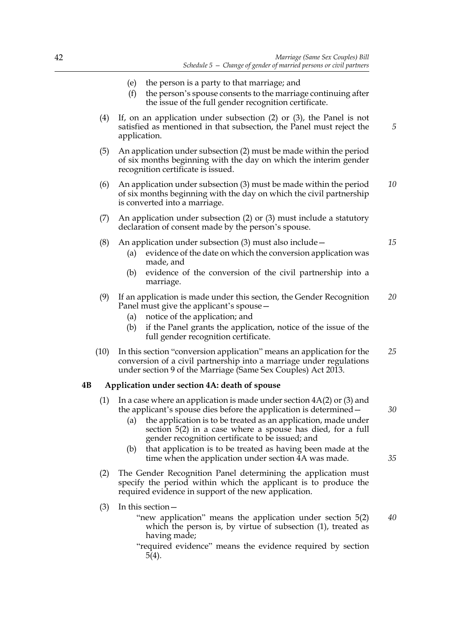- (e) the person is a party to that marriage; and
- (f) the person's spouse consents to the marriage continuing after the issue of the full gender recognition certificate.
- (4) If, on an application under subsection (2) or (3), the Panel is not satisfied as mentioned in that subsection, the Panel must reject the application.
- (5) An application under subsection (2) must be made within the period of six months beginning with the day on which the interim gender recognition certificate is issued.
- (6) An application under subsection (3) must be made within the period of six months beginning with the day on which the civil partnership is converted into a marriage. *10*
- (7) An application under subsection (2) or (3) must include a statutory declaration of consent made by the person's spouse.
- (8) An application under subsection (3) must also include—
	- (a) evidence of the date on which the conversion application was made, and
	- (b) evidence of the conversion of the civil partnership into a marriage.
- (9) If an application is made under this section, the Gender Recognition Panel must give the applicant's spouse— *20*
	- (a) notice of the application; and
	- (b) if the Panel grants the application, notice of the issue of the full gender recognition certificate.
- (10) In this section "conversion application" means an application for the conversion of a civil partnership into a marriage under regulations under section 9 of the Marriage (Same Sex Couples) Act 2013. *25*

# **4B Application under section 4A: death of spouse**

- (1) In a case where an application is made under section  $4A(2)$  or (3) and the applicant's spouse dies before the application is determined—
	- (a) the application is to be treated as an application, made under section 5(2) in a case where a spouse has died, for a full gender recognition certificate to be issued; and
	- (b) that application is to be treated as having been made at the time when the application under section 4A was made.
- (2) The Gender Recognition Panel determining the application must specify the period within which the applicant is to produce the required evidence in support of the new application.
- (3) In this section—
	- "new application" means the application under section 5(2) which the person is, by virtue of subsection (1), treated as having made;
	- "required evidence" means the evidence required by section  $5(4)$ .

*35*

*40*

*30*

*5*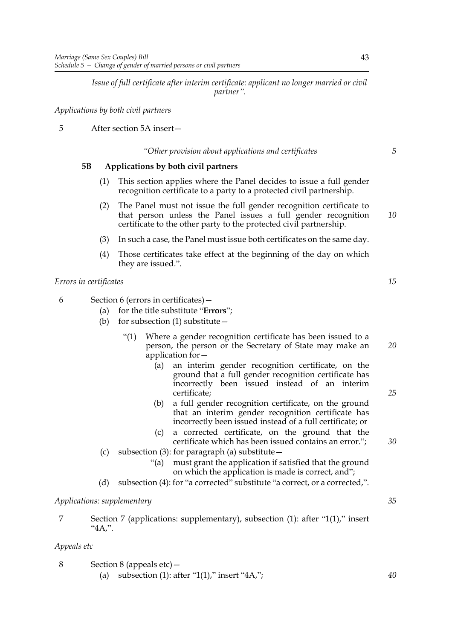*Issue of full certificate after interim certificate: applicant no longer married or civil partner".*

*Applications by both civil partners*

5 After section 5A insert—

*"Other provision about applications and certificates*

# **5B Applications by both civil partners**

- (1) This section applies where the Panel decides to issue a full gender recognition certificate to a party to a protected civil partnership.
- (2) The Panel must not issue the full gender recognition certificate to that person unless the Panel issues a full gender recognition certificate to the other party to the protected civil partnership.
- (3) In such a case, the Panel must issue both certificates on the same day.
- (4) Those certificates take effect at the beginning of the day on which they are issued.".

*Errors in certificates*

- 6 Section 6 (errors in certificates)—
	- (a) for the title substitute "**Errors**";
	- (b) for subsection  $(1)$  substitute  $-$ 
		- "(1) Where a gender recognition certificate has been issued to a person, the person or the Secretary of State may make an application for—
			- (a) an interim gender recognition certificate, on the ground that a full gender recognition certificate has incorrectly been issued instead of an interim certificate;
			- (b) a full gender recognition certificate, on the ground that an interim gender recognition certificate has incorrectly been issued instead of a full certificate; or
			- (c) a corrected certificate, on the ground that the certificate which has been issued contains an error.";
	- (c) subsection (3): for paragraph (a) substitute  $-$ 
		- "(a) must grant the application if satisfied that the ground on which the application is made is correct, and";
	- (d) subsection (4): for "a corrected" substitute "a correct, or a corrected,".

# *Applications: supplementary*

7 Section 7 (applications: supplementary), subsection (1): after "1(1)," insert "4A,".

# *Appeals etc*

- 8 Section 8 (appeals etc)—
	- (a) subsection (1): after "1(1)," insert "4A,";

*30*

# *35*

*40*

*10*

*5*

*15*

*20*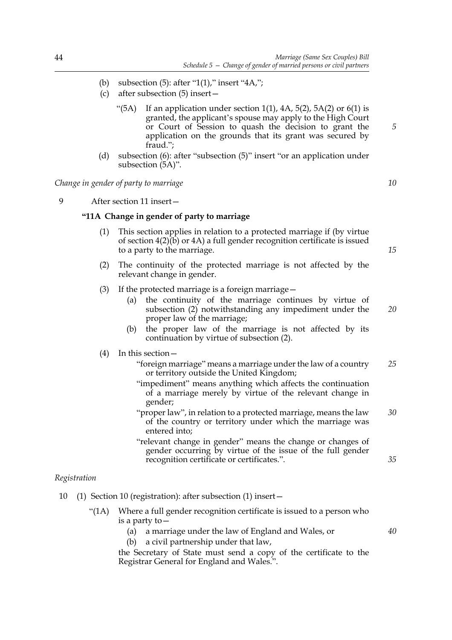- (b) subsection  $(5)$ : after "1(1)," insert "4A,";
- (c) after subsection (5) insert—
	- "(5A) If an application under section 1(1), 4A, 5(2), 5A(2) or 6(1) is granted, the applicant's spouse may apply to the High Court or Court of Session to quash the decision to grant the application on the grounds that its grant was secured by fraud.";
- (d) subsection (6): after "subsection (5)" insert "or an application under subsection (5A)".

*Change in gender of party to marriage*

9 After section 11 insert—

# **"11A Change in gender of party to marriage**

- (1) This section applies in relation to a protected marriage if (by virtue of section 4(2)(b) or 4A) a full gender recognition certificate is issued to a party to the marriage.
- (2) The continuity of the protected marriage is not affected by the relevant change in gender.
- (3) If the protected marriage is a foreign marriage—
	- (a) the continuity of the marriage continues by virtue of subsection (2) notwithstanding any impediment under the proper law of the marriage;
	- (b) the proper law of the marriage is not affected by its continuation by virtue of subsection (2).

(4) In this section—

- "foreign marriage" means a marriage under the law of a country or territory outside the United Kingdom; *25*
- "impediment" means anything which affects the continuation of a marriage merely by virtue of the relevant change in gender;
- "proper law", in relation to a protected marriage, means the law of the country or territory under which the marriage was entered into; *30*
- "relevant change in gender" means the change or changes of gender occurring by virtue of the issue of the full gender recognition certificate or certificates.".

*Registration*

- 10 (1) Section 10 (registration): after subsection (1) insert—
	- "(1A) Where a full gender recognition certificate is issued to a person who is a party to—
		- (a) a marriage under the law of England and Wales, or
		- (b) a civil partnership under that law,

the Secretary of State must send a copy of the certificate to the Registrar General for England and Wales.".

*5*

*10*

*15*

*20*

*35*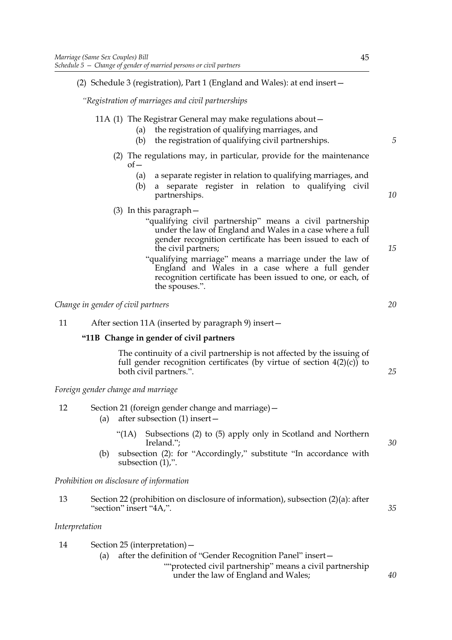(2) Schedule 3 (registration), Part 1 (England and Wales): at end insert—

*"Registration of marriages and civil partnerships*

- 11A (1) The Registrar General may make regulations about—
	- (a) the registration of qualifying marriages, and
	- (b) the registration of qualifying civil partnerships.
	- (2) The regulations may, in particular, provide for the maintenance  $of$ 
		- (a) a separate register in relation to qualifying marriages, and
		- (b) a separate register in relation to qualifying civil partnerships.
	- (3) In this paragraph—
		- "qualifying civil partnership" means a civil partnership under the law of England and Wales in a case where a full gender recognition certificate has been issued to each of the civil partners;
		- "qualifying marriage" means a marriage under the law of England and Wales in a case where a full gender recognition certificate has been issued to one, or each, of the spouses.".

*Change in gender of civil partners*

11 After section 11A (inserted by paragraph 9) insert—

# **"11B Change in gender of civil partners**

The continuity of a civil partnership is not affected by the issuing of full gender recognition certificates (by virtue of section  $4(2)(c)$ ) to both civil partners.".

*Foreign gender change and marriage*

12 Section 21 (foreign gender change and marriage)—

- (a) after subsection (1) insert—
	- "(1A) Subsections (2) to (5) apply only in Scotland and Northern Ireland.";
- (b) subsection (2): for "Accordingly," substitute "In accordance with subsection (1),".

*Prohibition on disclosure of information*

13 Section 22 (prohibition on disclosure of information), subsection (2)(a): after "section" insert "4A,".

# *Interpretation*

| 14 | Section 25 (interpretation) $-$ |                                                            |    |  |  |
|----|---------------------------------|------------------------------------------------------------|----|--|--|
|    | (a)                             | after the definition of "Gender Recognition Panel" insert- |    |  |  |
|    |                                 | ""protected civil partnership" means a civil partnership   |    |  |  |
|    |                                 | under the law of England and Wales;                        | 40 |  |  |

*5*

*10*

*15*

*20*

*25*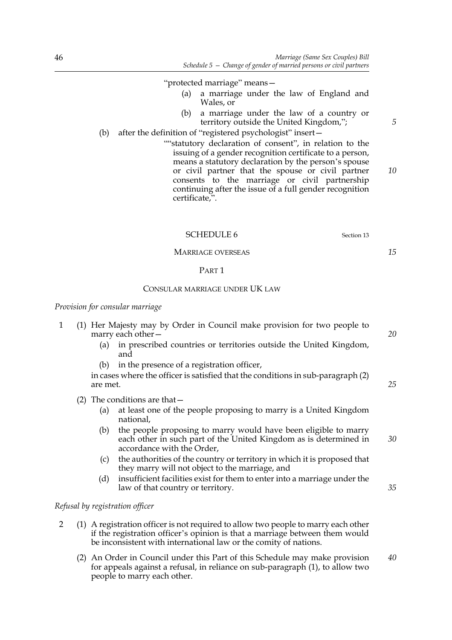"protected marriage" means—

- (a) a marriage under the law of England and Wales, or
- (b) a marriage under the law of a country or territory outside the United Kingdom,";
- (b) after the definition of "registered psychologist" insert—
	- ""statutory declaration of consent", in relation to the issuing of a gender recognition certificate to a person, means a statutory declaration by the person's spouse or civil partner that the spouse or civil partner consents to the marriage or civil partnership continuing after the issue of a full gender recognition certificate,".

SCHEDULE 6 Section 13

MARRIAGE OVERSEAS

### PART 1

#### CONSULAR MARRIAGE UNDER LIK LAW

*Provision for consular marriage*

- 1 (1) Her Majesty may by Order in Council make provision for two people to marry each other— (a) in prescribed countries or territories outside the United Kingdom, and *20*
	- (b) in the presence of a registration officer,

in cases where the officer is satisfied that the conditions in sub-paragraph (2) are met.

# (2) The conditions are that—

- (a) at least one of the people proposing to marry is a United Kingdom national,
- (b) the people proposing to marry would have been eligible to marry each other in such part of the United Kingdom as is determined in accordance with the Order, *30*
- (c) the authorities of the country or territory in which it is proposed that they marry will not object to the marriage, and
- (d) insufficient facilities exist for them to enter into a marriage under the law of that country or territory.

*Refusal by registration officer*

- 2 (1) A registration officer is not required to allow two people to marry each other if the registration officer's opinion is that a marriage between them would be inconsistent with international law or the comity of nations.
	- (2) An Order in Council under this Part of this Schedule may make provision for appeals against a refusal, in reliance on sub-paragraph (1), to allow two people to marry each other. *40*

*15*

*5*

*10*

*25*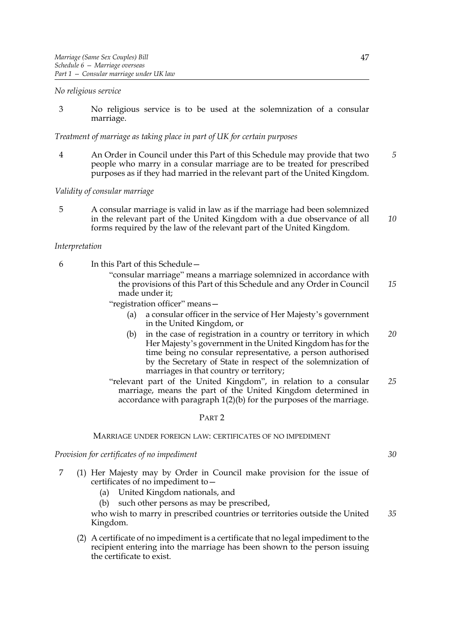#### *No religious service*

3 No religious service is to be used at the solemnization of a consular marriage.

*Treatment of marriage as taking place in part of UK for certain purposes*

4 An Order in Council under this Part of this Schedule may provide that two people who marry in a consular marriage are to be treated for prescribed purposes as if they had married in the relevant part of the United Kingdom. *5*

*Validity of consular marriage*

5 A consular marriage is valid in law as if the marriage had been solemnized in the relevant part of the United Kingdom with a due observance of all forms required by the law of the relevant part of the United Kingdom. *10*

## *Interpretation*

6 In this Part of this Schedule—

- "consular marriage" means a marriage solemnized in accordance with the provisions of this Part of this Schedule and any Order in Council made under it; *15*
- "registration officer" means—
	- (a) a consular officer in the service of Her Majesty's government in the United Kingdom, or
	- (b) in the case of registration in a country or territory in which Her Majesty's government in the United Kingdom has for the time being no consular representative, a person authorised by the Secretary of State in respect of the solemnization of marriages in that country or territory; *20*
- "relevant part of the United Kingdom", in relation to a consular marriage, means the part of the United Kingdom determined in accordance with paragraph 1(2)(b) for the purposes of the marriage. *25*

#### PART 2

#### MARRIAGE UNDER FOREIGN LAW: CERTIFICATES OF NO IMPEDIMENT

*Provision for certificates of no impediment*

- 7 (1) Her Majesty may by Order in Council make provision for the issue of certificates of no impediment to—
	- (a) United Kingdom nationals, and
	- (b) such other persons as may be prescribed,

who wish to marry in prescribed countries or territories outside the United Kingdom. *35*

(2) A certificate of no impediment is a certificate that no legal impediment to the recipient entering into the marriage has been shown to the person issuing the certificate to exist.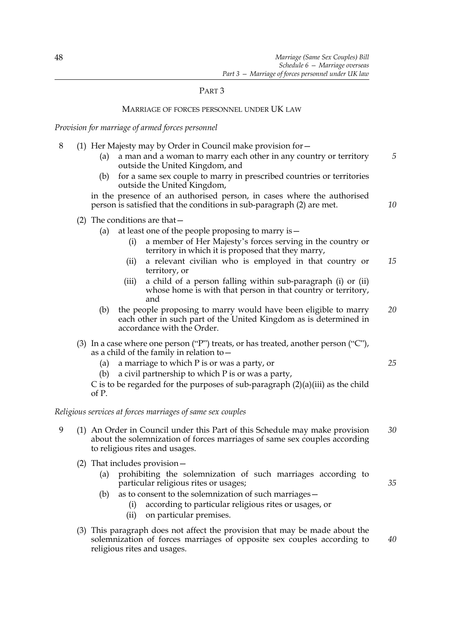# PART 3

# MARRIAGE OF FORCES PERSONNEL UNDER UK LAW

*Provision for marriage of armed forces personnel*

- 8 (1) Her Majesty may by Order in Council make provision for—
	- (a) a man and a woman to marry each other in any country or territory outside the United Kingdom, and
	- (b) for a same sex couple to marry in prescribed countries or territories outside the United Kingdom,

in the presence of an authorised person, in cases where the authorised person is satisfied that the conditions in sub-paragraph (2) are met.

- (2) The conditions are that—
	- (a) at least one of the people proposing to marry is  $-$ 
		- (i) a member of Her Majesty's forces serving in the country or territory in which it is proposed that they marry,
		- (ii) a relevant civilian who is employed in that country or territory, or *15*
		- (iii) a child of a person falling within sub-paragraph (i) or (ii) whose home is with that person in that country or territory, and
	- (b) the people proposing to marry would have been eligible to marry each other in such part of the United Kingdom as is determined in accordance with the Order. *20*
- (3) In a case where one person ("P") treats, or has treated, another person ("C"), as a child of the family in relation to—
	- (a) a marriage to which P is or was a party, or
	- (b) a civil partnership to which P is or was a party,

C is to be regarded for the purposes of sub-paragraph  $(2)(a)(iii)$  as the child of P.

*Religious services at forces marriages of same sex couples*

- 9 (1) An Order in Council under this Part of this Schedule may make provision about the solemnization of forces marriages of same sex couples according to religious rites and usages. *30*
	- (2) That includes provision—
		- (a) prohibiting the solemnization of such marriages according to particular religious rites or usages;
		- (b) as to consent to the solemnization of such marriages—
			- (i) according to particular religious rites or usages, or
			- (ii) on particular premises.
	- (3) This paragraph does not affect the provision that may be made about the solemnization of forces marriages of opposite sex couples according to religious rites and usages. *40*

*25*

*35*

*5*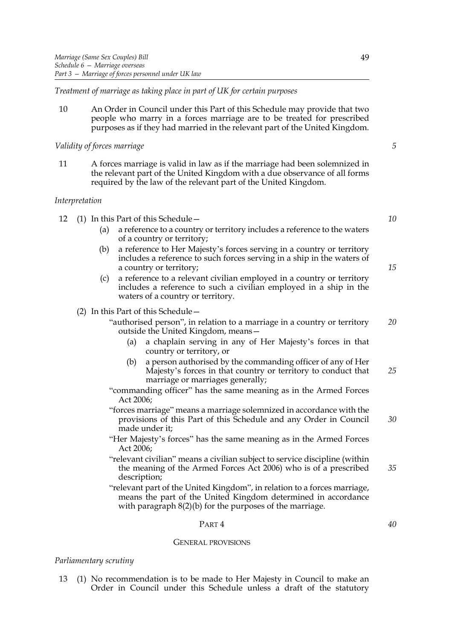*Treatment of marriage as taking place in part of UK for certain purposes*

10 An Order in Council under this Part of this Schedule may provide that two people who marry in a forces marriage are to be treated for prescribed purposes as if they had married in the relevant part of the United Kingdom.

# *Validity of forces marriage*

11 A forces marriage is valid in law as if the marriage had been solemnized in the relevant part of the United Kingdom with a due observance of all forms required by the law of the relevant part of the United Kingdom.

# *Interpretation*

- 12 (1) In this Part of this Schedule—
	- (a) a reference to a country or territory includes a reference to the waters of a country or territory;
	- (b) a reference to Her Majesty's forces serving in a country or territory includes a reference to such forces serving in a ship in the waters of a country or territory;
	- (c) a reference to a relevant civilian employed in a country or territory includes a reference to such a civilian employed in a ship in the waters of a country or territory.
	- (2) In this Part of this Schedule—

"authorised person", in relation to a marriage in a country or territory outside the United Kingdom, means—

- (a) a chaplain serving in any of Her Majesty's forces in that country or territory, or
- (b) a person authorised by the commanding officer of any of Her Majesty's forces in that country or territory to conduct that marriage or marriages generally; *25*
- "commanding officer" has the same meaning as in the Armed Forces Act 2006;
- "forces marriage" means a marriage solemnized in accordance with the provisions of this Part of this Schedule and any Order in Council made under it; *30*
- "Her Majesty's forces" has the same meaning as in the Armed Forces Act 2006;
- "relevant civilian" means a civilian subject to service discipline (within the meaning of the Armed Forces Act 2006) who is of a prescribed description; *35*
- "relevant part of the United Kingdom", in relation to a forces marriage, means the part of the United Kingdom determined in accordance with paragraph  $8(2)(b)$  for the purposes of the marriage.

#### PART 4

*40*

#### GENERAL PROVISIONS

# *Parliamentary scrutiny*

13 (1) No recommendation is to be made to Her Majesty in Council to make an Order in Council under this Schedule unless a draft of the statutory

*5*

*10*

*15*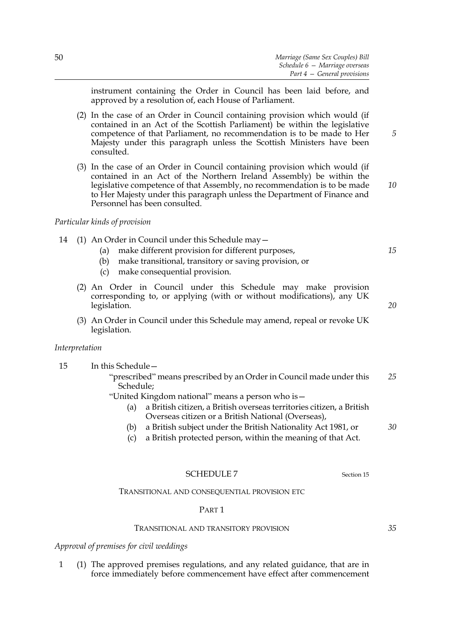instrument containing the Order in Council has been laid before, and approved by a resolution of, each House of Parliament.

- (2) In the case of an Order in Council containing provision which would (if contained in an Act of the Scottish Parliament) be within the legislative competence of that Parliament, no recommendation is to be made to Her Majesty under this paragraph unless the Scottish Ministers have been consulted.
- (3) In the case of an Order in Council containing provision which would (if contained in an Act of the Northern Ireland Assembly) be within the legislative competence of that Assembly, no recommendation is to be made to Her Majesty under this paragraph unless the Department of Finance and Personnel has been consulted.

# *Particular kinds of provision*

- 14 (1) An Order in Council under this Schedule may—
	- (a) make different provision for different purposes,
	- (b) make transitional, transitory or saving provision, or
	- (c) make consequential provision.
	- (2) An Order in Council under this Schedule may make provision corresponding to, or applying (with or without modifications), any UK legislation.
	- (3) An Order in Council under this Schedule may amend, repeal or revoke UK legislation.

# *Interpretation*

15 In this Schedule—

"prescribed" means prescribed by an Order in Council made under this Schedule; *25*

- "United Kingdom national" means a person who is—
	- (a) a British citizen, a British overseas territories citizen, a British Overseas citizen or a British National (Overseas),
	- (b) a British subject under the British Nationality Act 1981, or *30*
	- (c) a British protected person, within the meaning of that Act.

# SCHEDULE 7 Section 15

# TRANSITIONAL AND CONSEQUENTIAL PROVISION ETC

#### PART 1

# TRANSITIONAL AND TRANSITORY PROVISION

*Approval of premises for civil weddings*

1 (1) The approved premises regulations, and any related guidance, that are in force immediately before commencement have effect after commencement

*5*

*10*

*20*

*35*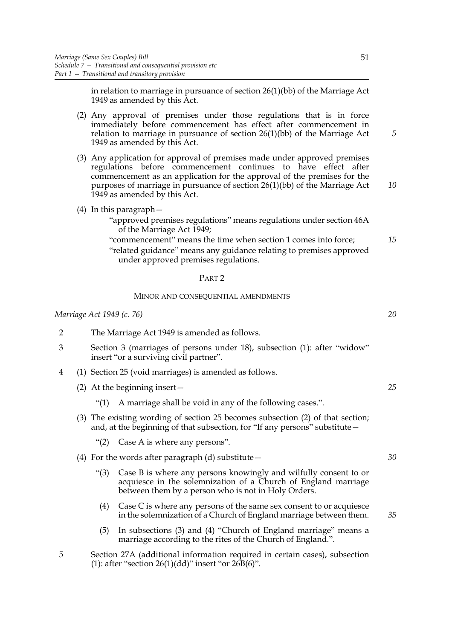in relation to marriage in pursuance of section 26(1)(bb) of the Marriage Act 1949 as amended by this Act.

- (2) Any approval of premises under those regulations that is in force immediately before commencement has effect after commencement in relation to marriage in pursuance of section 26(1)(bb) of the Marriage Act 1949 as amended by this Act.
- (3) Any application for approval of premises made under approved premises regulations before commencement continues to have effect after commencement as an application for the approval of the premises for the purposes of marriage in pursuance of section 26(1)(bb) of the Marriage Act 1949 as amended by this Act.
- (4) In this paragraph—
	- "approved premises regulations" means regulations under section 46A of the Marriage Act 1949;
	- "commencement" means the time when section 1 comes into force;
	- "related guidance" means any guidance relating to premises approved under approved premises regulations.

#### PART 2

## MINOR AND CONSEQUENTIAL AMENDMENTS

*Marriage Act 1949 (c. 76)*

- 2 The Marriage Act 1949 is amended as follows.
- 3 Section 3 (marriages of persons under 18), subsection (1): after "widow" insert "or a surviving civil partner".
- 4 (1) Section 25 (void marriages) is amended as follows.
	- (2) At the beginning insert—
		- "(1) A marriage shall be void in any of the following cases.".
	- (3) The existing wording of section 25 becomes subsection (2) of that section; and, at the beginning of that subsection, for "If any persons" substitute—
		- "(2) Case A is where any persons".
	- (4) For the words after paragraph (d) substitute  $-$ 
		- "(3) Case B is where any persons knowingly and wilfully consent to or acquiesce in the solemnization of a Church of England marriage between them by a person who is not in Holy Orders.
		- (4) Case C is where any persons of the same sex consent to or acquiesce in the solemnization of a Church of England marriage between them.
		- (5) In subsections (3) and (4) "Church of England marriage" means a marriage according to the rites of the Church of England.".
- 5 Section 27A (additional information required in certain cases), subsection (1): after "section  $26(1)(dd)$ " insert "or  $26B(6)$ ".

*5*

*10*

*15*

*20*

*30*

*25*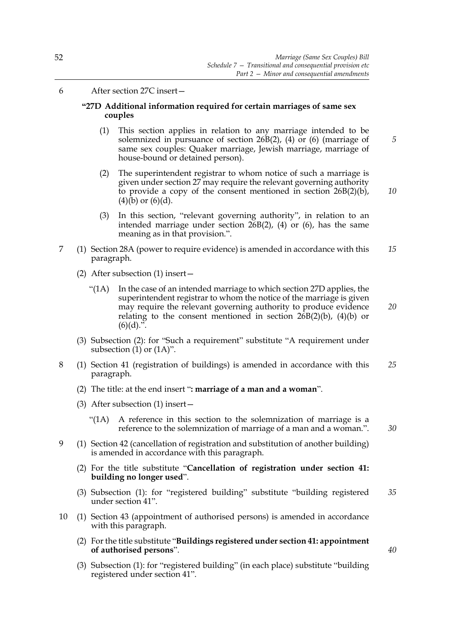# 6 After section 27C insert—

# **"27D Additional information required for certain marriages of same sex couples**

- (1) This section applies in relation to any marriage intended to be solemnized in pursuance of section  $26B(2)$ , (4) or (6) (marriage of same sex couples: Quaker marriage, Jewish marriage, marriage of house-bound or detained person).
- (2) The superintendent registrar to whom notice of such a marriage is given under section 27 may require the relevant governing authority to provide a copy of the consent mentioned in section 26B(2)(b),  $(4)(b)$  or  $(6)(d)$ .
- (3) In this section, "relevant governing authority", in relation to an intended marriage under section 26B(2), (4) or (6), has the same meaning as in that provision.".
- 7 (1) Section 28A (power to require evidence) is amended in accordance with this paragraph. *15*
	- (2) After subsection (1) insert—
		- "(1A) In the case of an intended marriage to which section 27D applies, the superintendent registrar to whom the notice of the marriage is given may require the relevant governing authority to produce evidence relating to the consent mentioned in section  $2\overline{6}B(2)(b)$ ,  $(4)(b)$  or  $(6)(d)$ .".
	- (3) Subsection (2): for "Such a requirement" substitute "A requirement under subsection  $(1)$  or  $(1A)$ ".
- 8 (1) Section 41 (registration of buildings) is amended in accordance with this paragraph. *25*
	- (2) The title: at the end insert "**: marriage of a man and a woman**".
	- (3) After subsection (1) insert—
		- "(1A) A reference in this section to the solemnization of marriage is a reference to the solemnization of marriage of a man and a woman.".
- 9 (1) Section 42 (cancellation of registration and substitution of another building) is amended in accordance with this paragraph.
	- (2) For the title substitute "**Cancellation of registration under section 41: building no longer used**".
	- (3) Subsection (1): for "registered building" substitute "building registered under section 41". *35*
- 10 (1) Section 43 (appointment of authorised persons) is amended in accordance with this paragraph.
	- (2) For the title substitute "**Buildings registered under section 41: appointment of authorised persons**".
	- (3) Subsection (1): for "registered building" (in each place) substitute "building registered under section 41".

*20*

*30*

*40*

*5*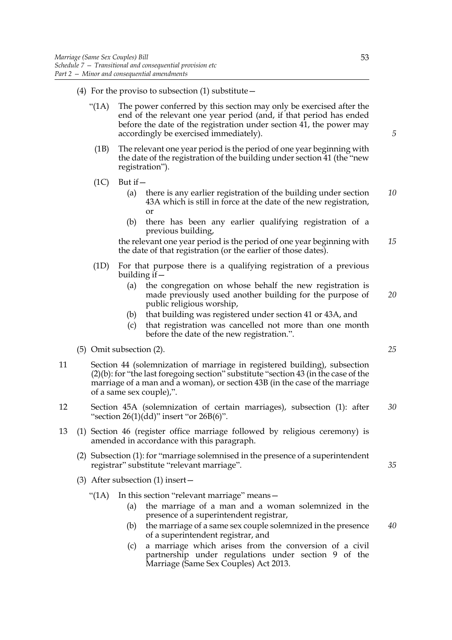- (4) For the proviso to subsection  $(1)$  substitute  $-$ 
	- "(1A) The power conferred by this section may only be exercised after the end of the relevant one year period (and, if that period has ended before the date of the registration under section 41, the power may accordingly be exercised immediately).
	- (1B) The relevant one year period is the period of one year beginning with the date of the registration of the building under section 41 (the "new registration").
	- $(1C)$  But if  $-$ 
		- (a) there is any earlier registration of the building under section 43A which is still in force at the date of the new registration, or *10*
		- (b) there has been any earlier qualifying registration of a previous building,

the relevant one year period is the period of one year beginning with the date of that registration (or the earlier of those dates). *15*

- (1D) For that purpose there is a qualifying registration of a previous building if—
	- (a) the congregation on whose behalf the new registration is made previously used another building for the purpose of public religious worship, *20*
	- (b) that building was registered under section 41 or 43A, and
	- (c) that registration was cancelled not more than one month before the date of the new registration.".
- (5) Omit subsection (2).
- 11 Section 44 (solemnization of marriage in registered building), subsection (2)(b): for "the last foregoing section" substitute "section 43 (in the case of the marriage of a man and a woman), or section 43B (in the case of the marriage of a same sex couple),".
- 12 Section 45A (solemnization of certain marriages), subsection (1): after "section 26(1)(dd)" insert "or 26B(6)". *30*
- 13 (1) Section 46 (register office marriage followed by religious ceremony) is amended in accordance with this paragraph.
	- (2) Subsection (1): for "marriage solemnised in the presence of a superintendent registrar" substitute "relevant marriage".
	- (3) After subsection (1) insert—
		- "(1A) In this section "relevant marriage" means—
			- (a) the marriage of a man and a woman solemnized in the presence of a superintendent registrar,
			- (b) the marriage of a same sex couple solemnized in the presence of a superintendent registrar, and *40*
			- (c) a marriage which arises from the conversion of a civil partnership under regulations under section 9 of the Marriage (Same Sex Couples) Act 2013.

*5*

*25*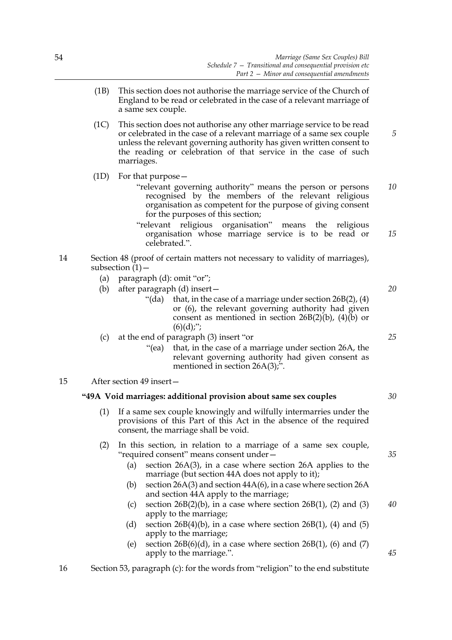- (1B) This section does not authorise the marriage service of the Church of England to be read or celebrated in the case of a relevant marriage of a same sex couple.
- (1C) This section does not authorise any other marriage service to be read or celebrated in the case of a relevant marriage of a same sex couple unless the relevant governing authority has given written consent to the reading or celebration of that service in the case of such marriages.
- (1D) For that purpose—
	- "relevant governing authority" means the person or persons recognised by the members of the relevant religious organisation as competent for the purpose of giving consent for the purposes of this section; *10*
	- "relevant religious organisation" means the religious organisation whose marriage service is to be read or celebrated.". *15*
- 14 Section 48 (proof of certain matters not necessary to validity of marriages), subsection  $(1)$  –
	- (a) paragraph (d): omit "or";
	- (b) after paragraph (d) insert—
		- "(da) that, in the case of a marriage under section  $26B(2)$ , (4) or (6), the relevant governing authority had given consent as mentioned in section  $26B(2)(b)$ ,  $(4)(b)$  or  $(6)(d)$ ;";

# (c) at the end of paragraph (3) insert "or

"(ea) that, in the case of a marriage under section 26A, the relevant governing authority had given consent as mentioned in section 26A(3);".

# 15 After section 49 insert—

# **"49A Void marriages: additional provision about same sex couples**

- (1) If a same sex couple knowingly and wilfully intermarries under the provisions of this Part of this Act in the absence of the required consent, the marriage shall be void.
- (2) In this section, in relation to a marriage of a same sex couple, "required consent" means consent under—
	- (a) section 26A(3), in a case where section 26A applies to the marriage (but section 44A does not apply to it);
	- (b) section 26A(3) and section 44A(6), in a case where section 26A and section 44A apply to the marriage;
	- (c) section  $26B(2)(b)$ , in a case where section  $26B(1)$ , (2) and (3) apply to the marriage; *40*
	- (d) section  $26B(4)(b)$ , in a case where section  $26B(1)$ , (4) and (5) apply to the marriage;
	- (e) section  $26B(6)(d)$ , in a case where section  $26B(1)$ , (6) and (7) apply to the marriage.".
- 16 Section 53, paragraph (c): for the words from "religion" to the end substitute

*25*

*20*

*5*

*30*

*35*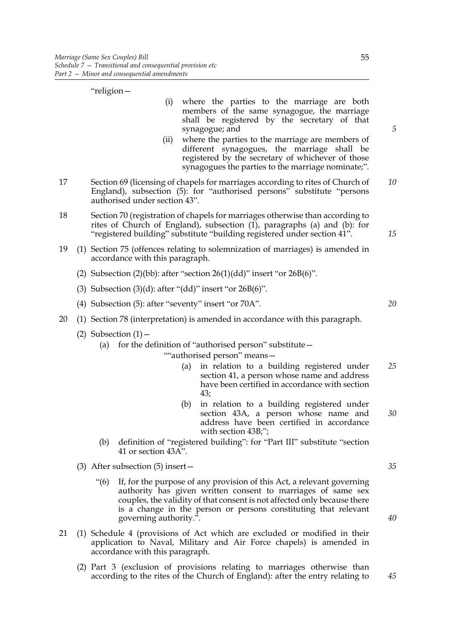"religion—

|    | "religion —                     |                                                                                                                                                                                                                                       |            |
|----|---------------------------------|---------------------------------------------------------------------------------------------------------------------------------------------------------------------------------------------------------------------------------------|------------|
|    |                                 | where the parties to the marriage are both<br>(i)<br>members of the same synagogue, the marriage<br>shall be registered by the secretary of that<br>synagogue; and<br>where the parties to the marriage are members of<br>(ii)        | $\sqrt{5}$ |
|    |                                 | different synagogues, the marriage shall be<br>registered by the secretary of whichever of those<br>synagogues the parties to the marriage nominate;".                                                                                |            |
| 17 | authorised under section 43".   | Section 69 (licensing of chapels for marriages according to rites of Church of<br>England), subsection (5): for "authorised persons" substitute "persons                                                                              | 10         |
| 18 |                                 | Section 70 (registration of chapels for marriages otherwise than according to<br>rites of Church of England), subsection (1), paragraphs (a) and (b): for<br>"registered building" substitute "building registered under section 41". | 15         |
| 19 | accordance with this paragraph. | (1) Section 75 (offences relating to solemnization of marriages) is amended in                                                                                                                                                        |            |
|    |                                 | (2) Subsection $(2)(bb)$ : after "section $26(1)(dd)$ " insert "or $26B(6)$ ".                                                                                                                                                        |            |
|    |                                 | (3) Subsection $(3)(d)$ : after " $(dd)$ " insert "or $26B(6)$ ".                                                                                                                                                                     |            |
|    |                                 | (4) Subsection (5): after "seventy" insert "or 70A".                                                                                                                                                                                  | 20         |
| 20 |                                 | (1) Section 78 (interpretation) is amended in accordance with this paragraph.                                                                                                                                                         |            |
|    | (2) Subsection $(1)$ –<br>(a)   | for the definition of "authorised person" substitute -<br>""authorised person" means-                                                                                                                                                 |            |
|    |                                 | in relation to a building registered under<br>(a)<br>section 41, a person whose name and address<br>have been certified in accordance with section<br>43;                                                                             | 25         |
|    |                                 | in relation to a building registered under<br>(b)<br>section 43A, a person whose name and<br>address have been certified in accordance<br>with section 43B;";                                                                         | 30         |
|    | (b)                             | definition of "registered building": for "Part III" substitute "section                                                                                                                                                               |            |

(b) definition of "registered building": for "Part III" substitute "sectio 41 or section 43A".

(3) After subsection (5) insert—

- "(6) If, for the purpose of any provision of this Act, a relevant governing authority has given written consent to marriages of same sex couples, the validity of that consent is not affected only because there is a change in the person or persons constituting that relevant governing authority.".
- 21 (1) Schedule 4 (provisions of Act which are excluded or modified in their application to Naval, Military and Air Force chapels) is amended in accordance with this paragraph.
	- (2) Part 3 (exclusion of provisions relating to marriages otherwise than according to the rites of the Church of England): after the entry relating to

*15*

*35*

*40*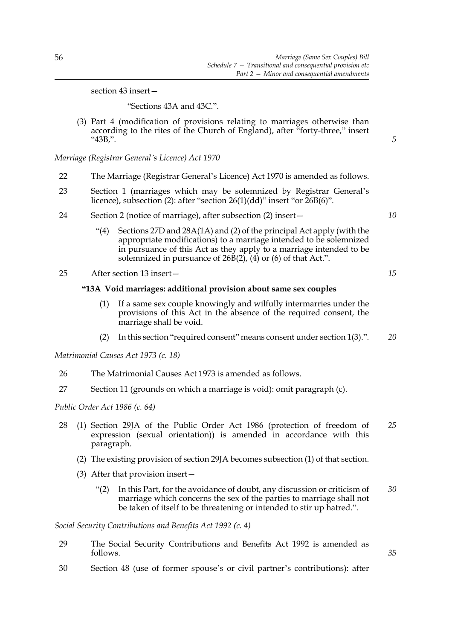section 43 insert—

"Sections 43A and 43C.".

(3) Part 4 (modification of provisions relating to marriages otherwise than according to the rites of the Church of England), after "forty-three," insert "43B,".

*Marriage (Registrar General's Licence) Act 1970*

- 22 The Marriage (Registrar General's Licence) Act 1970 is amended as follows.
- 23 Section 1 (marriages which may be solemnized by Registrar General's licence), subsection (2): after "section 26(1)(dd)" insert "or 26B(6)".
- 24 Section 2 (notice of marriage), after subsection (2) insert—
	- "(4) Sections 27D and 28A(1A) and (2) of the principal Act apply (with the appropriate modifications) to a marriage intended to be solemnized in pursuance of this Act as they apply to a marriage intended to be solemnized in pursuance of  $26\overline{B(2)}$ ,  $\overline{(4)}$  or  $\overline{(6)}$  of that Act.".

25 After section 13 insert—

# **"13A Void marriages: additional provision about same sex couples**

- (1) If a same sex couple knowingly and wilfully intermarries under the provisions of this Act in the absence of the required consent, the marriage shall be void.
- (2) In this section "required consent" means consent under section 1(3).". *20*

*Matrimonial Causes Act 1973 (c. 18)*

- 26 The Matrimonial Causes Act 1973 is amended as follows.
- 27 Section 11 (grounds on which a marriage is void): omit paragraph (c).

*Public Order Act 1986 (c. 64)*

- 28 (1) Section 29JA of the Public Order Act 1986 (protection of freedom of expression (sexual orientation)) is amended in accordance with this paragraph. *25*
	- (2) The existing provision of section 29JA becomes subsection (1) of that section.
	- (3) After that provision insert—
		- "(2) In this Part, for the avoidance of doubt, any discussion or criticism of marriage which concerns the sex of the parties to marriage shall not be taken of itself to be threatening or intended to stir up hatred.". *30*

*Social Security Contributions and Benefits Act 1992 (c. 4)*

- 29 The Social Security Contributions and Benefits Act 1992 is amended as follows.
- 30 Section 48 (use of former spouse's or civil partner's contributions): after

*15*

*10*

*5*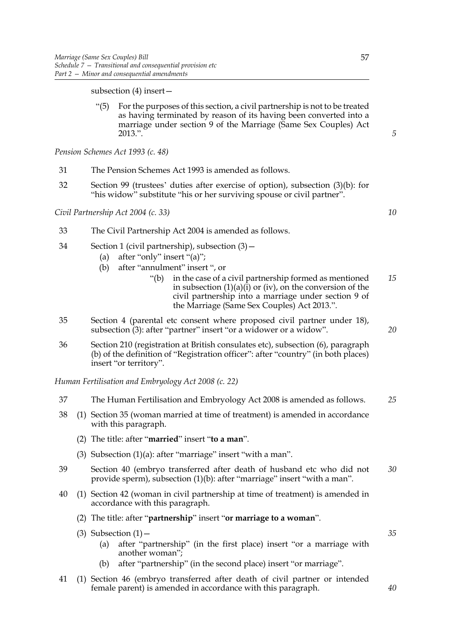subsection (4) insert—

"(5) For the purposes of this section, a civil partnership is not to be treated as having terminated by reason of its having been converted into a marriage under section 9 of the Marriage (Same Sex Couples) Act 2013.".

*Pension Schemes Act 1993 (c. 48)*

- 31 The Pension Schemes Act 1993 is amended as follows.
- 32 Section 99 (trustees' duties after exercise of option), subsection (3)(b): for "his widow" substitute "his or her surviving spouse or civil partner".

*Civil Partnership Act 2004 (c. 33)*

- 33 The Civil Partnership Act 2004 is amended as follows.
- 34 Section 1 (civil partnership), subsection (3)—
	- (a) after "only" insert "(a)";
	- (b) after "annulment" insert ", or
		- "(b) in the case of a civil partnership formed as mentioned in subsection  $(1)(a)(i)$  or (iv), on the conversion of the civil partnership into a marriage under section 9 of the Marriage (Same Sex Couples) Act 2013.". *15*
- 35 Section 4 (parental etc consent where proposed civil partner under 18), subsection (3): after "partner" insert "or a widower or a widow".
- 36 Section 210 (registration at British consulates etc), subsection (6), paragraph (b) of the definition of "Registration officer": after "country" (in both places) insert "or territory".

*Human Fertilisation and Embryology Act 2008 (c. 22)*

- 37 The Human Fertilisation and Embryology Act 2008 is amended as follows. *25*
- 38 (1) Section 35 (woman married at time of treatment) is amended in accordance with this paragraph.
	- (2) The title: after "**married**" insert "**to a man**".
	- (3) Subsection  $(1)(a)$ : after "marriage" insert "with a man".
- 39 Section 40 (embryo transferred after death of husband etc who did not provide sperm), subsection (1)(b): after "marriage" insert "with a man". *30*
- 40 (1) Section 42 (woman in civil partnership at time of treatment) is amended in accordance with this paragraph.
	- (2) The title: after "**partnership**" insert "**or marriage to a woman**".
	- (3) Subsection  $(1)$  -
		- (a) after "partnership" (in the first place) insert "or a marriage with another woman";
		- (b) after "partnership" (in the second place) insert "or marriage".
- 41 (1) Section 46 (embryo transferred after death of civil partner or intended female parent) is amended in accordance with this paragraph.

*20*

*5*

*10*

*35*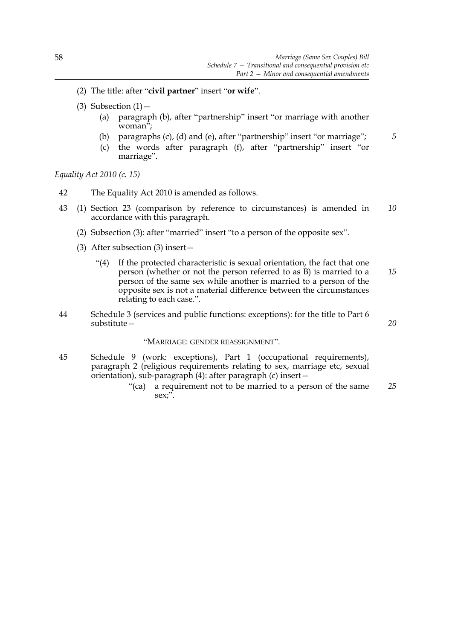*5*

*20*

- (2) The title: after "**civil partner**" insert "**or wife**".
- (3) Subsection  $(1)$  -
	- (a) paragraph (b), after "partnership" insert "or marriage with another woman";
	- (b) paragraphs (c), (d) and (e), after "partnership" insert "or marriage";
	- (c) the words after paragraph (f), after "partnership" insert "or marriage".

*Equality Act 2010 (c. 15)*

- 42 The Equality Act 2010 is amended as follows.
- 43 (1) Section 23 (comparison by reference to circumstances) is amended in accordance with this paragraph. *10*
	- (2) Subsection (3): after "married" insert "to a person of the opposite sex".
	- (3) After subsection (3) insert—
		- "(4) If the protected characteristic is sexual orientation, the fact that one person (whether or not the person referred to as B) is married to a person of the same sex while another is married to a person of the opposite sex is not a material difference between the circumstances relating to each case.". *15*
- 44 Schedule 3 (services and public functions: exceptions): for the title to Part 6 substitute—

"MARRIAGE: GENDER REASSIGNMENT".

- 45 Schedule 9 (work: exceptions), Part 1 (occupational requirements), paragraph 2 (religious requirements relating to sex, marriage etc, sexual orientation), sub-paragraph (4): after paragraph (c) insert—
	- "(ca) a requirement not to be married to a person of the same  $sex$ ; *25*